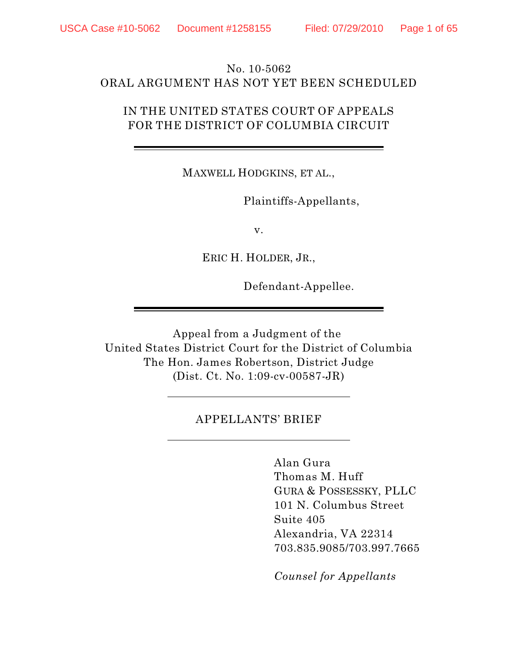# No. 10-5062 ORAL ARGUMENT HAS NOT YET BEEN SCHEDULED

# IN THE UNITED STATES COURT OF APPEALS FOR THE DISTRICT OF COLUMBIA CIRCUIT

MAXWELL HODGKINS, ET AL.,

Plaintiffs-Appellants,

v.

ERIC H. HOLDER, JR.,

Defendant-Appellee.

Appeal from a Judgment of the United States District Court for the District of Columbia The Hon. James Robertson, District Judge (Dist. Ct. No. 1:09-cv-00587-JR)

### APPELLANTS' BRIEF

Alan Gura Thomas M. Huff GURA & POSSESSKY, PLLC 101 N. Columbus Street Suite 405 Alexandria, VA 22314 703.835.9085/703.997.7665

*Counsel for Appellants*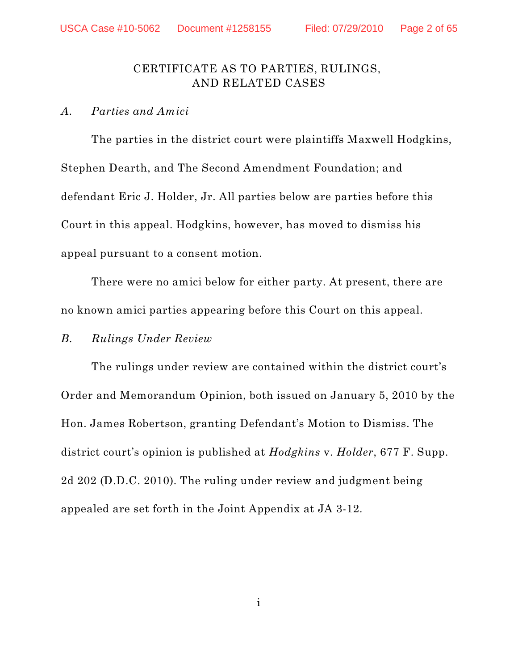## CERTIFICATE AS TO PARTIES, RULINGS, AND RELATED CASES

#### *A. Parties and Amici*

The parties in the district court were plaintiffs Maxwell Hodgkins, Stephen Dearth, and The Second Amendment Foundation; and defendant Eric J. Holder, Jr. All parties below are parties before this Court in this appeal. Hodgkins, however, has moved to dismiss his appeal pursuant to a consent motion.

There were no amici below for either party. At present, there are no known amici parties appearing before this Court on this appeal.

#### *B. Rulings Under Review*

The rulings under review are contained within the district court's Order and Memorandum Opinion, both issued on January 5, 2010 by the Hon. James Robertson, granting Defendant's Motion to Dismiss. The district court's opinion is published at *Hodgkins* v. *Holder*, 677 F. Supp. 2d 202 (D.D.C. 2010). The ruling under review and judgment being appealed are set forth in the Joint Appendix at JA 3-12.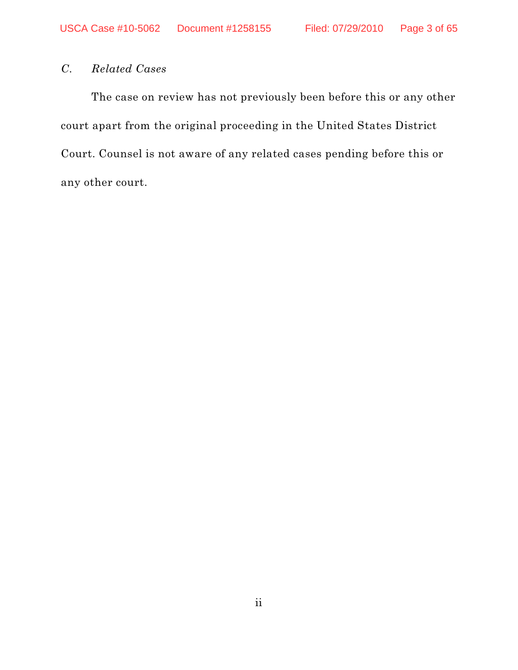# *C. Related Cases*

The case on review has not previously been before this or any other court apart from the original proceeding in the United States District Court. Counsel is not aware of any related cases pending before this or any other court.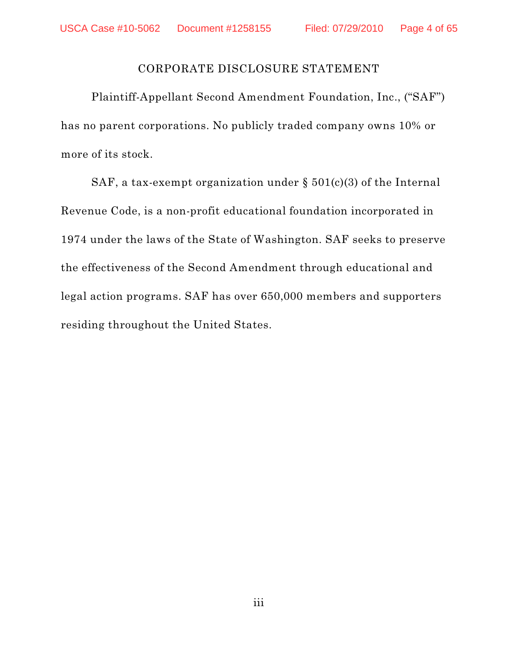#### CORPORATE DISCLOSURE STATEMENT

Plaintiff-Appellant Second Amendment Foundation, Inc., ("SAF") has no parent corporations. No publicly traded company owns 10% or more of its stock.

SAF, a tax-exempt organization under  $\S 501(c)(3)$  of the Internal Revenue Code, is a non-profit educational foundation incorporated in 1974 under the laws of the State of Washington. SAF seeks to preserve the effectiveness of the Second Amendment through educational and legal action programs. SAF has over 650,000 members and supporters residing throughout the United States.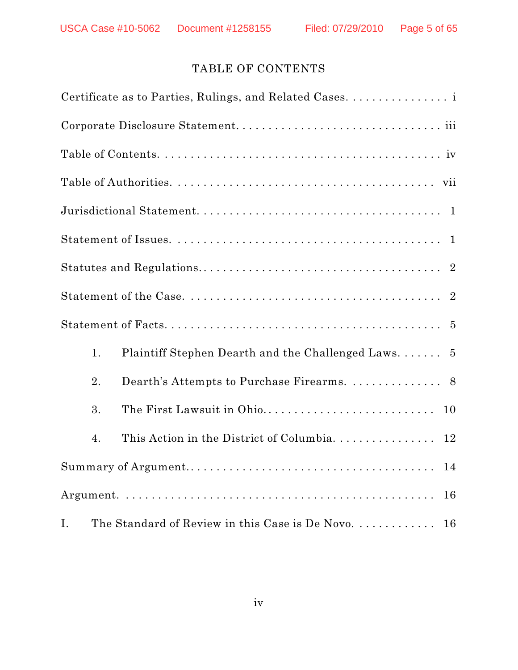# TABLE OF CONTENTS

| Certificate as to Parties, Rulings, and Related Cases. i    |  |
|-------------------------------------------------------------|--|
|                                                             |  |
|                                                             |  |
|                                                             |  |
|                                                             |  |
|                                                             |  |
|                                                             |  |
|                                                             |  |
|                                                             |  |
| Plaintiff Stephen Dearth and the Challenged Laws 5<br>1.    |  |
| 2.                                                          |  |
| 3.<br>The First Lawsuit in Ohio<br>10                       |  |
| 4.                                                          |  |
| 14                                                          |  |
| 16                                                          |  |
| The Standard of Review in this Case is De Novo.<br>I.<br>16 |  |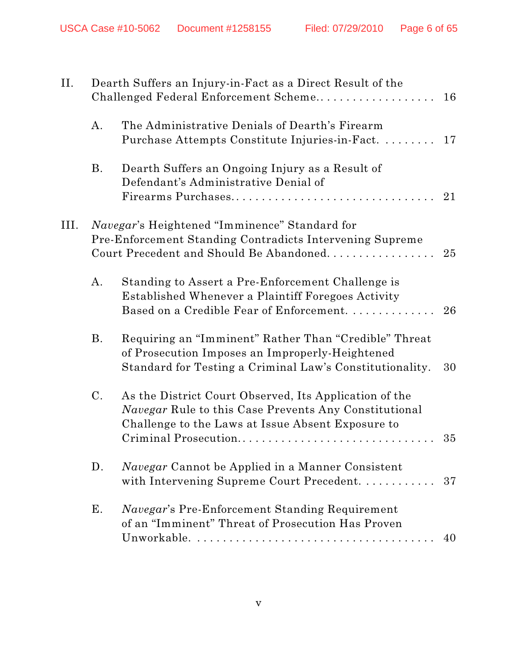| II.  |                | Dearth Suffers an Injury-in-Fact as a Direct Result of the<br>Challenged Federal Enforcement Scheme                                                                                                 | 16 |
|------|----------------|-----------------------------------------------------------------------------------------------------------------------------------------------------------------------------------------------------|----|
|      | A.             | The Administrative Denials of Dearth's Firearm<br>Purchase Attempts Constitute Injuries-in-Fact                                                                                                     | 17 |
|      | <b>B.</b>      | Dearth Suffers an Ongoing Injury as a Result of<br>Defendant's Administrative Denial of                                                                                                             |    |
| III. |                | <i>Navegar's</i> Heightened "Imminence" Standard for<br>Pre-Enforcement Standing Contradicts Intervening Supreme<br>Court Precedent and Should Be Abandoned.                                        | 25 |
|      | A.             | Standing to Assert a Pre-Enforcement Challenge is<br>Established Whenever a Plaintiff Foregoes Activity<br>Based on a Credible Fear of Enforcement.                                                 | 26 |
|      | <b>B.</b>      | Requiring an "Imminent" Rather Than "Credible" Threat<br>of Prosecution Imposes an Improperly-Heightened<br>Standard for Testing a Criminal Law's Constitutionality.                                | 30 |
|      | $\mathcal{C}.$ | As the District Court Observed, Its Application of the<br><i>Navegar</i> Rule to this Case Prevents Any Constitutional<br>Challenge to the Laws at Issue Absent Exposure to<br>Criminal Prosecution | 35 |
|      | D.             | <i>Navegar</i> Cannot be Applied in a Manner Consistent<br>with Intervening Supreme Court Precedent.                                                                                                | 37 |
|      | Е.             | <i>Navegar's</i> Pre-Enforcement Standing Requirement<br>of an "Imminent" Threat of Prosecution Has Proven                                                                                          | 40 |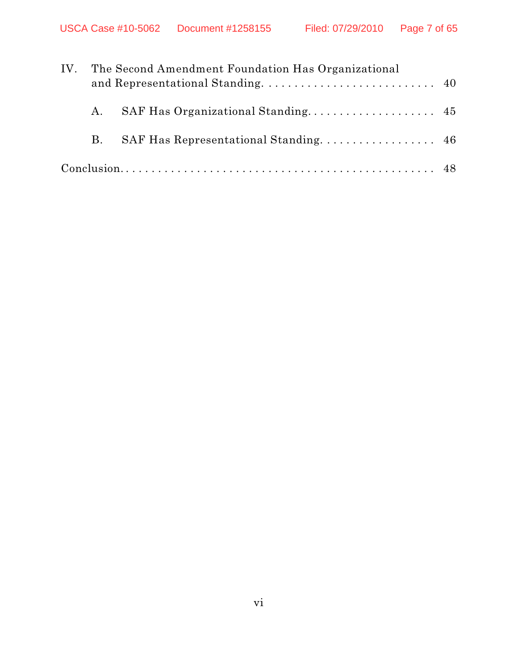| IV. |           | The Second Amendment Foundation Has Organizational |  |
|-----|-----------|----------------------------------------------------|--|
|     | A.        |                                                    |  |
|     | <b>B.</b> |                                                    |  |
|     |           |                                                    |  |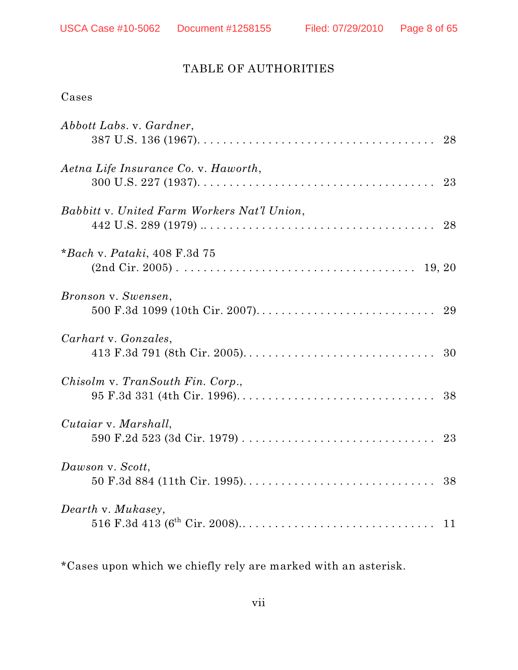# TABLE OF AUTHORITIES

# Cases

| Abbott Labs. v. Gardner,                    |  |
|---------------------------------------------|--|
| Aetna Life Insurance Co. v. Haworth,        |  |
| Babbitt v. United Farm Workers Nat'l Union, |  |
| *Bach v. Pataki, 408 F.3d 75                |  |
| Bronson v. Swensen,                         |  |
| Carhart v. Gonzales,                        |  |
| Chisolm v. TranSouth Fin. Corp.,            |  |
| Cutaiar v. Marshall,                        |  |
| Dawson v. Scott,                            |  |
| Dearth v. Mukasey,                          |  |

\*Cases upon which we chiefly rely are marked with an asterisk.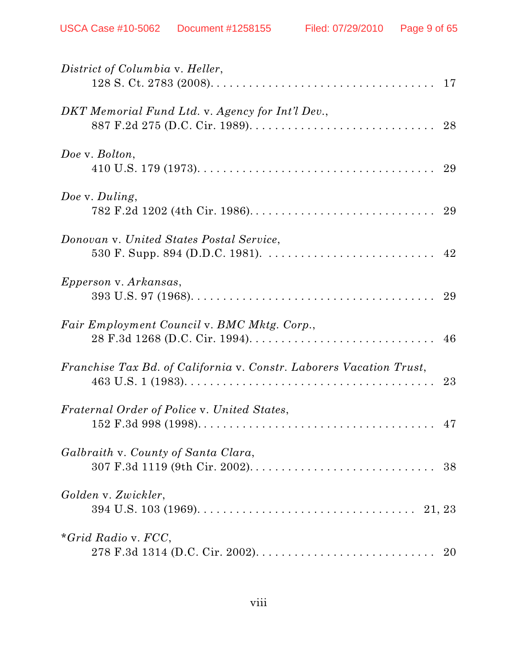| District of Columbia v. Heller,                                                                                                                                                                         |    |
|---------------------------------------------------------------------------------------------------------------------------------------------------------------------------------------------------------|----|
| DKT Memorial Fund Ltd. v. Agency for Int'l Dev.,                                                                                                                                                        |    |
| Doe v. Bolton,                                                                                                                                                                                          |    |
| Doe v. Duling,                                                                                                                                                                                          |    |
| Donovan v. United States Postal Service,                                                                                                                                                                |    |
| <i>Epperson v. Arkansas,</i>                                                                                                                                                                            |    |
| Fair Employment Council v. BMC Mktg. Corp.,                                                                                                                                                             |    |
| Franchise Tax Bd. of California v. Constr. Laborers Vacation Trust,<br>$463 \text{ U.S. } 1 \text{ (1983)}. \ldots \ldots \ldots \ldots \ldots \ldots \ldots \ldots \ldots \ldots \ldots \ldots \ldots$ | 23 |
| Fraternal Order of Police v. United States,                                                                                                                                                             |    |
| Galbraith v. County of Santa Clara,                                                                                                                                                                     |    |
| Golden v. Zwickler,                                                                                                                                                                                     |    |
| *Grid Radio v. $FCC$ ,                                                                                                                                                                                  |    |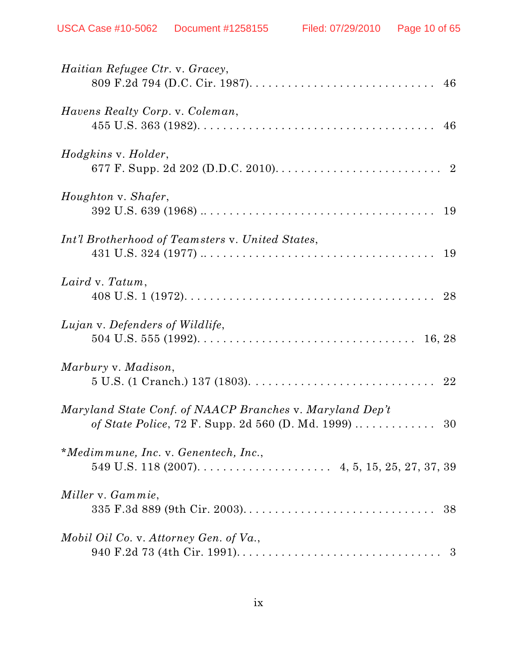| Haitian Refugee Ctr. v. Gracey,                                                                                   |
|-------------------------------------------------------------------------------------------------------------------|
| Havens Realty Corp. v. Coleman,                                                                                   |
| Hodgkins v. Holder,                                                                                               |
| Houghton v. Shafer,                                                                                               |
| Int'l Brotherhood of Teamsters v. United States,                                                                  |
| Laird v. Tatum,                                                                                                   |
| Lujan v. Defenders of Wildlife,                                                                                   |
| Marbury v. Madison,                                                                                               |
| Maryland State Conf. of NAACP Branches v. Maryland Dep't<br>of State Police, 72 F. Supp. 2d 560 (D. Md. 1999)  30 |
| *Medimmune, Inc. v. Genentech, Inc.,                                                                              |
| Miller v. Gammie,                                                                                                 |
| Mobil Oil Co. v. Attorney Gen. of Va.,                                                                            |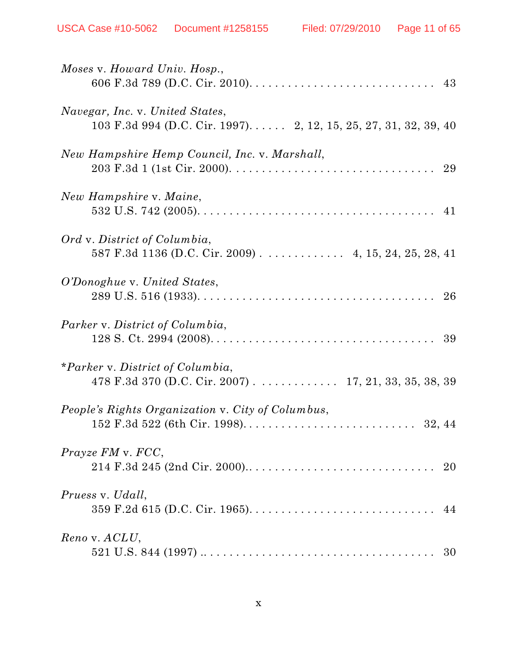| Moses v. Howard Univ. Hosp.,                                                                                               |    |
|----------------------------------------------------------------------------------------------------------------------------|----|
| Navegar, Inc. v. United States,<br>103 F.3d 994 (D.C. Cir. 1997) 2, 12, 15, 25, 27, 31, 32, 39, 40                         |    |
| New Hampshire Hemp Council, Inc. v. Marshall,                                                                              |    |
| New Hampshire v. Maine,                                                                                                    | 41 |
| Ord v. District of Columbia,<br>587 F.3d 1136 (D.C. Cir. 2009) 4, 15, 24, 25, 28, 41                                       |    |
| O'Donoghue v. United States,                                                                                               |    |
| Parker v. District of Columbia,                                                                                            |    |
| *Parker v. District of Columbia,<br>478 F.3d 370 (D.C. Cir. 2007) 17, 21, 33, 35, 38, 39                                   |    |
| People's Rights Organization v. City of Columbus,                                                                          |    |
| Prayze FM v. FCC,                                                                                                          |    |
| Pruess v. Udall,                                                                                                           |    |
| Reno v. ACLU,<br>521 U.S. 844 (1997) $\dots \dots \dots \dots \dots \dots \dots \dots \dots \dots \dots \dots \dots \dots$ | 30 |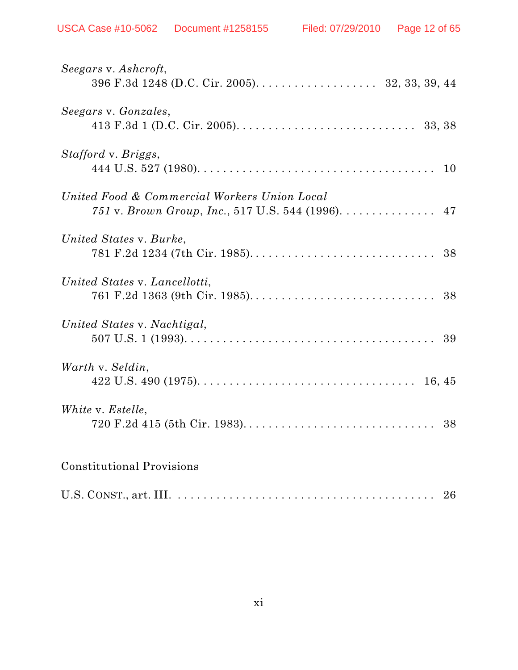| Seegars v. Ashcroft,<br>396 F.3d 1248 (D.C. Cir. 2005). 32, 33, 39, 44                            |  |
|---------------------------------------------------------------------------------------------------|--|
| Seegars v. Gonzales,                                                                              |  |
| Stafford v. Briggs,                                                                               |  |
| United Food & Commercial Workers Union Local<br>751 v. Brown Group, Inc., 517 U.S. 544 (1996). 47 |  |
| United States v. Burke,                                                                           |  |
| United States v. Lancellotti,                                                                     |  |
| United States v. Nachtigal,                                                                       |  |
| Warth v. Seldin,                                                                                  |  |
| White v. Estelle,                                                                                 |  |
| <b>Constitutional Provisions</b>                                                                  |  |
|                                                                                                   |  |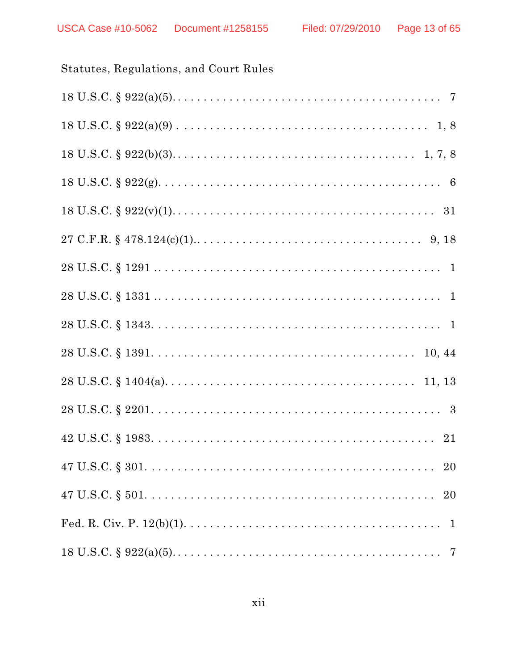# Statutes, Regulations, and Court Rules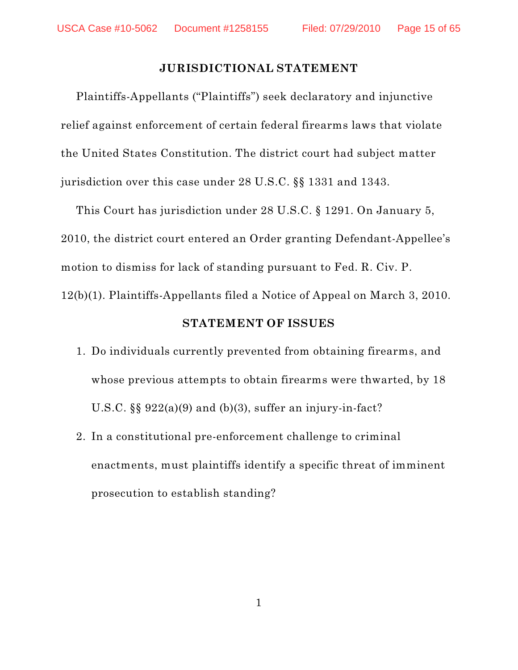#### **JURISDICTIONAL STATEMENT**

Plaintiffs-Appellants ("Plaintiffs") seek declaratory and injunctive relief against enforcement of certain federal firearms laws that violate the United States Constitution. The district court had subject matter jurisdiction over this case under 28 U.S.C. §§ 1331 and 1343.

This Court has jurisdiction under 28 U.S.C. § 1291. On January 5, 2010, the district court entered an Order granting Defendant-Appellee's motion to dismiss for lack of standing pursuant to Fed. R. Civ. P. 12(b)(1). Plaintiffs-Appellants filed a Notice of Appeal on March 3, 2010.

#### **STATEMENT OF ISSUES**

- 1. Do individuals currently prevented from obtaining firearms, and whose previous attempts to obtain firearms were thwarted, by 18 U.S.C.  $\S$   $922(a)(9)$  and (b)(3), suffer an injury-in-fact?
- 2. In a constitutional pre-enforcement challenge to criminal enactments, must plaintiffs identify a specific threat of imminent prosecution to establish standing?

1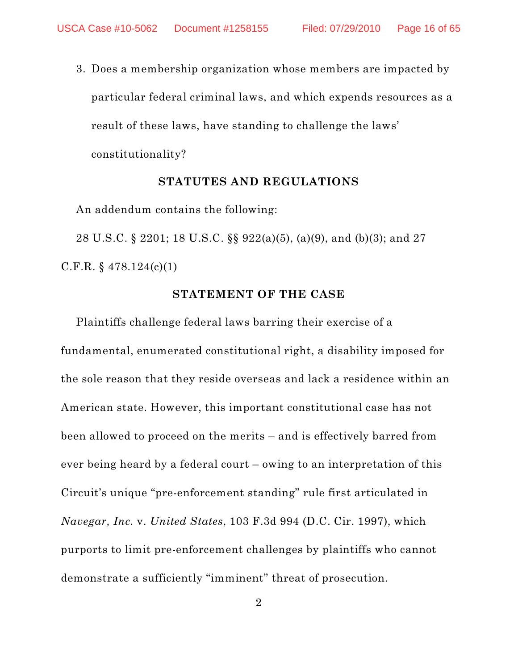3. Does a membership organization whose members are impacted by particular federal criminal laws, and which expends resources as a result of these laws, have standing to challenge the laws' constitutionality?

#### **STATUTES AND REGULATIONS**

An addendum contains the following:

28 U.S.C. § 2201; 18 U.S.C. §§ 922(a)(5), (a)(9), and (b)(3); and 27 C.F.R. § 478.124(c)(1)

#### **STATEMENT OF THE CASE**

Plaintiffs challenge federal laws barring their exercise of a fundamental, enumerated constitutional right, a disability imposed for the sole reason that they reside overseas and lack a residence within an American state. However, this important constitutional case has not been allowed to proceed on the merits – and is effectively barred from ever being heard by a federal court – owing to an interpretation of this Circuit's unique "pre-enforcement standing" rule first articulated in *Navegar, Inc.* v. *United States*, 103 F.3d 994 (D.C. Cir. 1997), which purports to limit pre-enforcement challenges by plaintiffs who cannot demonstrate a sufficiently "imminent" threat of prosecution.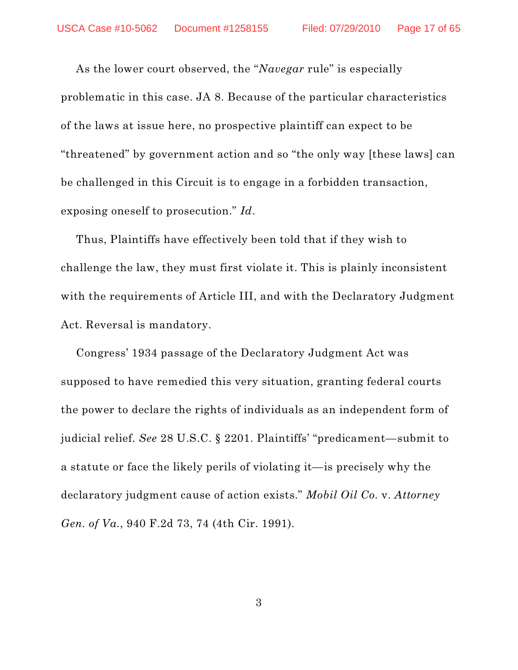As the lower court observed, the "*Navegar* rule" is especially problematic in this case. JA 8. Because of the particular characteristics of the laws at issue here, no prospective plaintiff can expect to be "threatened" by government action and so "the only way [these laws] can be challenged in this Circuit is to engage in a forbidden transaction, exposing oneself to prosecution." *Id*.

Thus, Plaintiffs have effectively been told that if they wish to challenge the law, they must first violate it. This is plainly inconsistent with the requirements of Article III, and with the Declaratory Judgment Act. Reversal is mandatory.

Congress' 1934 passage of the Declaratory Judgment Act was supposed to have remedied this very situation, granting federal courts the power to declare the rights of individuals as an independent form of judicial relief. *See* 28 U.S.C. § 2201. Plaintiffs' "predicament—submit to a statute or face the likely perils of violating it—is precisely why the declaratory judgment cause of action exists." *Mobil Oil Co.* v. *Attorney Gen. of Va.*, 940 F.2d 73, 74 (4th Cir. 1991).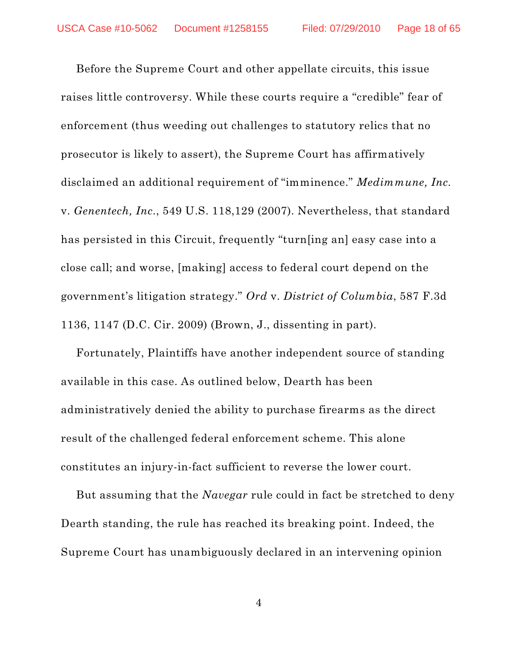Before the Supreme Court and other appellate circuits, this issue raises little controversy. While these courts require a "credible" fear of enforcement (thus weeding out challenges to statutory relics that no prosecutor is likely to assert), the Supreme Court has affirmatively disclaimed an additional requirement of "imminence." *Medimmune, Inc.* v. *Genentech, Inc.*, 549 U.S. 118,129 (2007). Nevertheless, that standard has persisted in this Circuit, frequently "turn[ing an] easy case into a close call; and worse, [making] access to federal court depend on the government's litigation strategy." *Ord* v. *District of Columbia*, 587 F.3d 1136, 1147 (D.C. Cir. 2009) (Brown, J., dissenting in part).

Fortunately, Plaintiffs have another independent source of standing available in this case. As outlined below, Dearth has been administratively denied the ability to purchase firearms as the direct result of the challenged federal enforcement scheme. This alone constitutes an injury-in-fact sufficient to reverse the lower court.

But assuming that the *Navegar* rule could in fact be stretched to deny Dearth standing, the rule has reached its breaking point. Indeed, the Supreme Court has unambiguously declared in an intervening opinion

4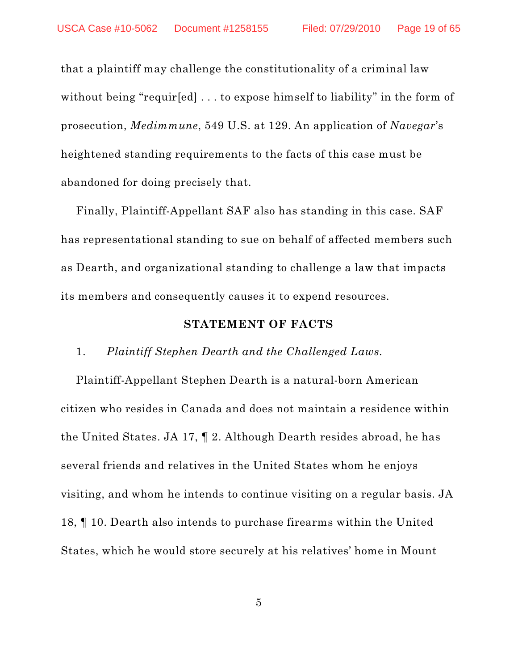that a plaintiff may challenge the constitutionality of a criminal law without being "requir[ed] ... to expose himself to liability" in the form of prosecution, *Medimmune*, 549 U.S. at 129. An application of *Navegar*'s heightened standing requirements to the facts of this case must be abandoned for doing precisely that.

Finally, Plaintiff-Appellant SAF also has standing in this case. SAF has representational standing to sue on behalf of affected members such as Dearth, and organizational standing to challenge a law that impacts its members and consequently causes it to expend resources.

#### **STATEMENT OF FACTS**

#### 1. *Plaintiff Stephen Dearth and the Challenged Laws.*

Plaintiff-Appellant Stephen Dearth is a natural-born American citizen who resides in Canada and does not maintain a residence within the United States. JA 17, ¶ 2. Although Dearth resides abroad, he has several friends and relatives in the United States whom he enjoys visiting, and whom he intends to continue visiting on a regular basis. JA 18, ¶ 10. Dearth also intends to purchase firearms within the United States, which he would store securely at his relatives' home in Mount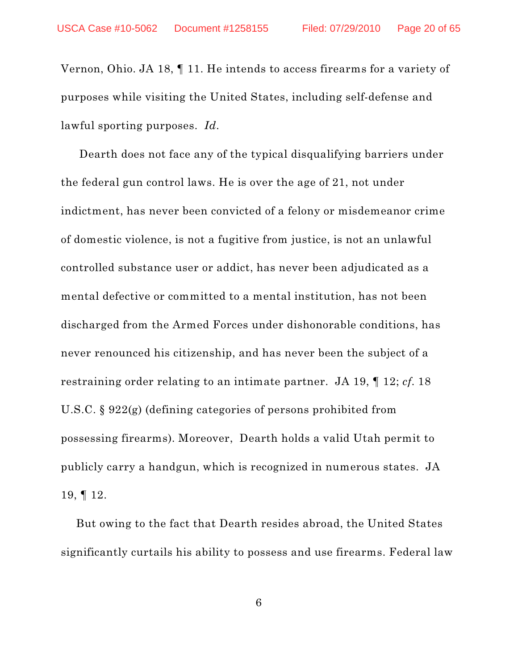Vernon, Ohio. JA 18, ¶ 11. He intends to access firearms for a variety of purposes while visiting the United States, including self-defense and lawful sporting purposes. *Id*.

Dearth does not face any of the typical disqualifying barriers under the federal gun control laws. He is over the age of 21, not under indictment, has never been convicted of a felony or misdemeanor crime of domestic violence, is not a fugitive from justice, is not an unlawful controlled substance user or addict, has never been adjudicated as a mental defective or committed to a mental institution, has not been discharged from the Armed Forces under dishonorable conditions, has never renounced his citizenship, and has never been the subject of a restraining order relating to an intimate partner. JA 19, ¶ 12; *cf*. 18 U.S.C. § 922(g) (defining categories of persons prohibited from possessing firearms). Moreover, Dearth holds a valid Utah permit to publicly carry a handgun, which is recognized in numerous states. JA 19, ¶ 12.

But owing to the fact that Dearth resides abroad, the United States significantly curtails his ability to possess and use firearms. Federal law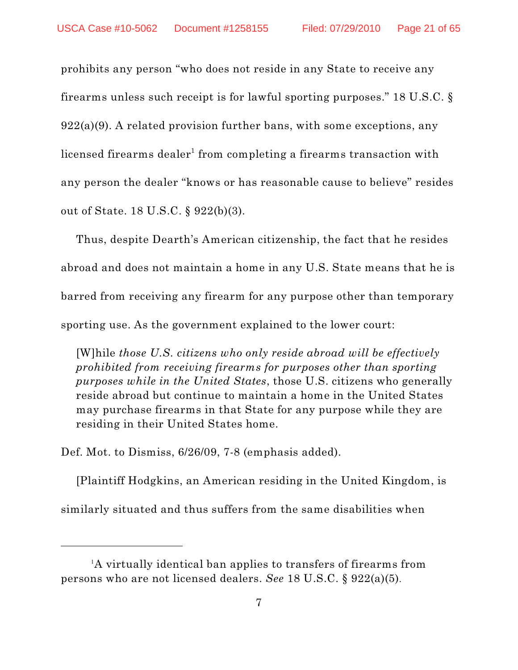prohibits any person "who does not reside in any State to receive any firearms unless such receipt is for lawful sporting purposes." 18 U.S.C. §  $922(a)(9)$ . A related provision further bans, with some exceptions, any licensed firearms dealer $^{\rm 1}$  from completing a firearms transaction with any person the dealer "knows or has reasonable cause to believe" resides out of State. 18 U.S.C. § 922(b)(3).

Thus, despite Dearth's American citizenship, the fact that he resides abroad and does not maintain a home in any U.S. State means that he is barred from receiving any firearm for any purpose other than temporary sporting use. As the government explained to the lower court:

[W]hile *those U.S. citizens who only reside abroad will be effectively prohibited from receiving firearms for purposes other than sporting purposes while in the United States*, those U.S. citizens who generally reside abroad but continue to maintain a home in the United States may purchase firearms in that State for any purpose while they are residing in their United States home.

Def. Mot. to Dismiss, 6/26/09, 7-8 (emphasis added).

[Plaintiff Hodgkins, an American residing in the United Kingdom, is similarly situated and thus suffers from the same disabilities when

<sup>1</sup>A virtually identical ban applies to transfers of firearms from persons who are not licensed dealers. *See* 18 U.S.C. § 922(a)(5).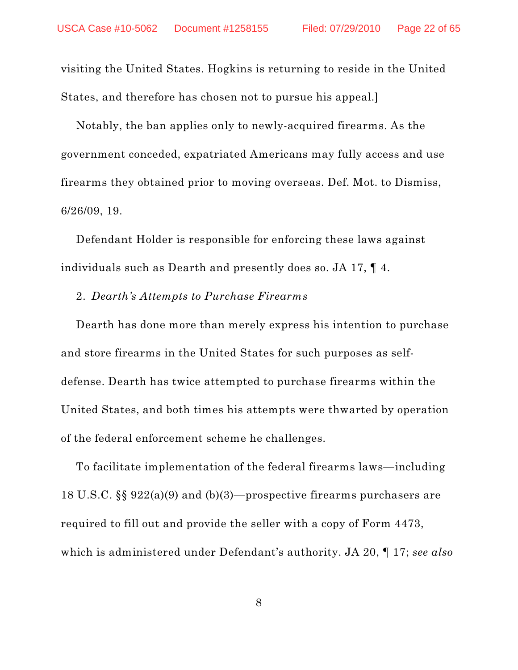visiting the United States. Hogkins is returning to reside in the United States, and therefore has chosen not to pursue his appeal.]

Notably, the ban applies only to newly-acquired firearms. As the government conceded, expatriated Americans may fully access and use firearms they obtained prior to moving overseas. Def. Mot. to Dismiss, 6/26/09, 19.

Defendant Holder is responsible for enforcing these laws against individuals such as Dearth and presently does so. JA 17, ¶ 4.

#### 2. *Dearth's Attempts to Purchase Firearms*

Dearth has done more than merely express his intention to purchase and store firearms in the United States for such purposes as selfdefense. Dearth has twice attempted to purchase firearms within the United States, and both times his attempts were thwarted by operation of the federal enforcement scheme he challenges.

To facilitate implementation of the federal firearms laws—including 18 U.S.C. §§ 922(a)(9) and (b)(3)—prospective firearms purchasers are required to fill out and provide the seller with a copy of Form 4473, which is administered under Defendant's authority. JA 20, ¶ 17; *see also*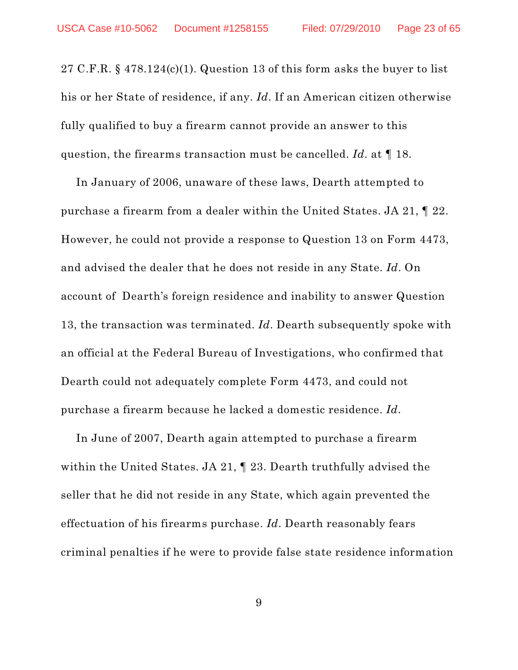27 C.F.R.  $\S$  478.124(c)(1). Question 13 of this form asks the buyer to list his or her State of residence, if any. *Id*. If an American citizen otherwise fully qualified to buy a firearm cannot provide an answer to this question, the firearms transaction must be cancelled. *Id*. at ¶ 18.

In January of 2006, unaware of these laws, Dearth attempted to purchase a firearm from a dealer within the United States. JA 21, ¶ 22. However, he could not provide a response to Question 13 on Form 4473, and advised the dealer that he does not reside in any State. *Id*. On account of Dearth's foreign residence and inability to answer Question 13, the transaction was terminated. *Id*. Dearth subsequently spoke with an official at the Federal Bureau of Investigations, who confirmed that Dearth could not adequately complete Form 4473, and could not purchase a firearm because he lacked a domestic residence. *Id*.

In June of 2007, Dearth again attempted to purchase a firearm within the United States. JA 21, ¶ 23. Dearth truthfully advised the seller that he did not reside in any State, which again prevented the effectuation of his firearms purchase. *Id*. Dearth reasonably fears criminal penalties if he were to provide false state residence information

9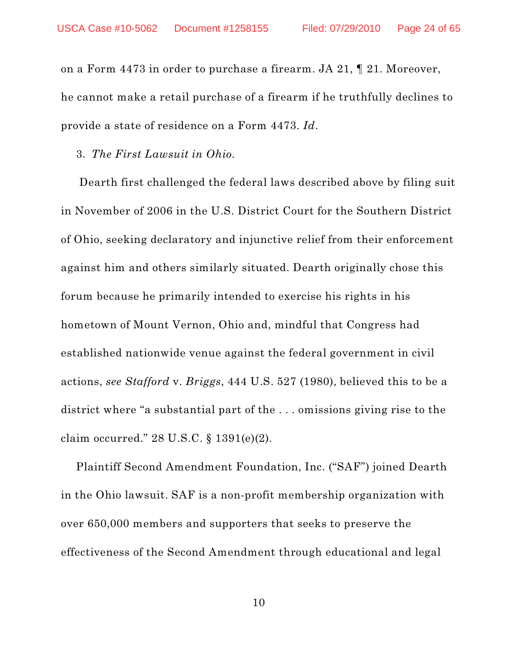on a Form 4473 in order to purchase a firearm. JA 21, ¶ 21. Moreover, he cannot make a retail purchase of a firearm if he truthfully declines to provide a state of residence on a Form 4473. *Id*.

3*. The First Lawsuit in Ohio.*

Dearth first challenged the federal laws described above by filing suit in November of 2006 in the U.S. District Court for the Southern District of Ohio, seeking declaratory and injunctive relief from their enforcement against him and others similarly situated. Dearth originally chose this forum because he primarily intended to exercise his rights in his hometown of Mount Vernon, Ohio and, mindful that Congress had established nationwide venue against the federal government in civil actions, *see Stafford* v. *Briggs*, 444 U.S. 527 (1980), believed this to be a district where "a substantial part of the . . . omissions giving rise to the claim occurred." 28 U.S.C. § 1391(e)(2).

Plaintiff Second Amendment Foundation, Inc. ("SAF") joined Dearth in the Ohio lawsuit. SAF is a non-profit membership organization with over 650,000 members and supporters that seeks to preserve the effectiveness of the Second Amendment through educational and legal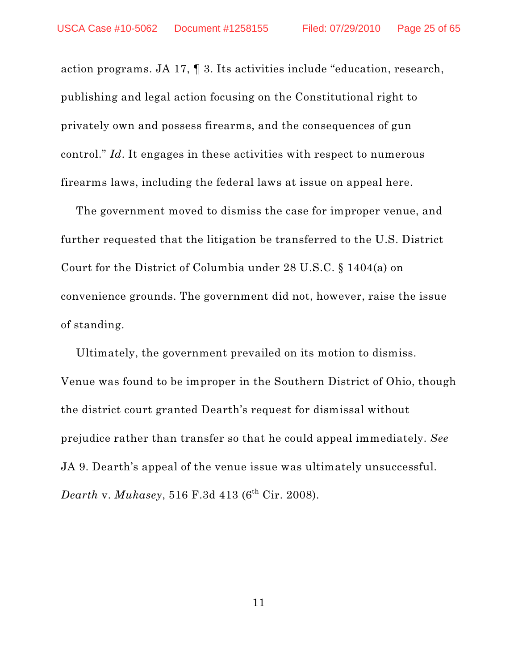action programs. JA 17, ¶ 3. Its activities include "education, research, publishing and legal action focusing on the Constitutional right to privately own and possess firearms, and the consequences of gun control." *Id*. It engages in these activities with respect to numerous firearms laws, including the federal laws at issue on appeal here.

The government moved to dismiss the case for improper venue, and further requested that the litigation be transferred to the U.S. District Court for the District of Columbia under 28 U.S.C. § 1404(a) on convenience grounds. The government did not, however, raise the issue of standing.

Ultimately, the government prevailed on its motion to dismiss. Venue was found to be improper in the Southern District of Ohio, though the district court granted Dearth's request for dismissal without prejudice rather than transfer so that he could appeal immediately. *See* JA 9. Dearth's appeal of the venue issue was ultimately unsuccessful.  $Death \text{ v. } Mukasey, \, 516 \text{ F.}3d \, 413 \; (6^{\text{th}} \text{ Cir. } 2008).$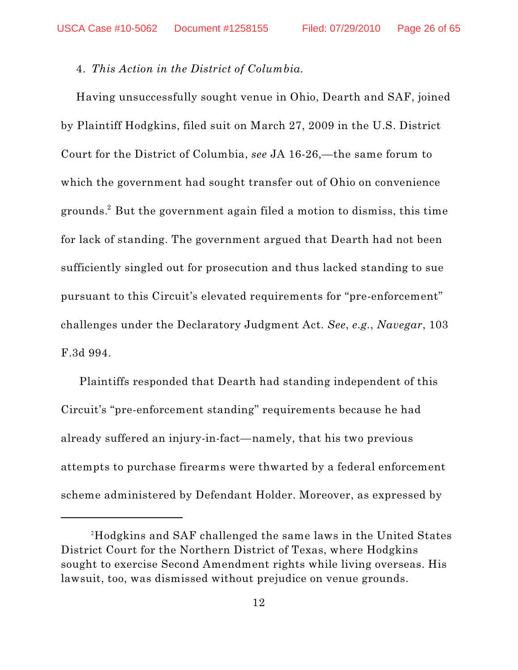#### 4. *This Action in the District of Columbia.*

Having unsuccessfully sought venue in Ohio, Dearth and SAF, joined by Plaintiff Hodgkins, filed suit on March 27, 2009 in the U.S. District Court for the District of Columbia, *see* JA 16-26,—the same forum to which the government had sought transfer out of Ohio on convenience grounds. $^2$  But the government again filed a motion to dismiss, this time for lack of standing. The government argued that Dearth had not been sufficiently singled out for prosecution and thus lacked standing to sue pursuant to this Circuit's elevated requirements for "pre-enforcement" challenges under the Declaratory Judgment Act. *See*, *e.g.*, *Navegar*, 103 F.3d 994.

Plaintiffs responded that Dearth had standing independent of this Circuit's "pre-enforcement standing" requirements because he had already suffered an injury-in-fact—namely, that his two previous attempts to purchase firearms were thwarted by a federal enforcement scheme administered by Defendant Holder. Moreover, as expressed by

 $^{\rm 2}$ Hodgkins and SAF challenged the same laws in the United States District Court for the Northern District of Texas, where Hodgkins sought to exercise Second Amendment rights while living overseas. His lawsuit, too, was dismissed without prejudice on venue grounds.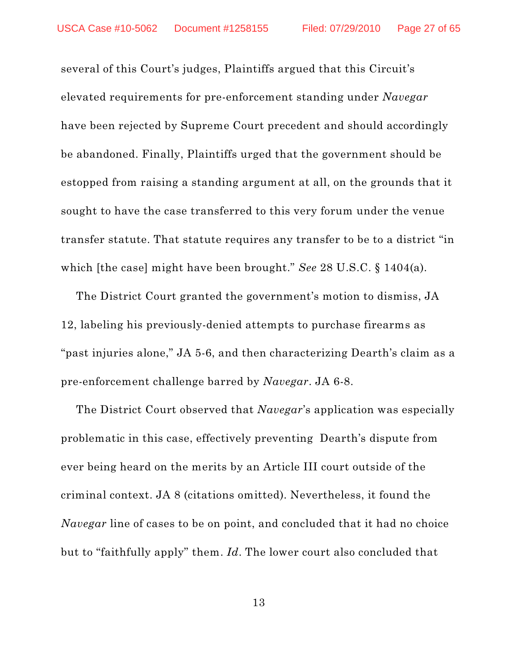several of this Court's judges, Plaintiffs argued that this Circuit's elevated requirements for pre-enforcement standing under *Navegar* have been rejected by Supreme Court precedent and should accordingly be abandoned. Finally, Plaintiffs urged that the government should be estopped from raising a standing argument at all, on the grounds that it sought to have the case transferred to this very forum under the venue transfer statute. That statute requires any transfer to be to a district "in which [the case] might have been brought." *See* 28 U.S.C. § 1404(a).

The District Court granted the government's motion to dismiss, JA 12, labeling his previously-denied attempts to purchase firearms as "past injuries alone," JA 5-6, and then characterizing Dearth's claim as a pre-enforcement challenge barred by *Navegar*. JA 6-8.

The District Court observed that *Navegar*'s application was especially problematic in this case, effectively preventing Dearth's dispute from ever being heard on the merits by an Article III court outside of the criminal context. JA 8 (citations omitted). Nevertheless, it found the *Navegar* line of cases to be on point, and concluded that it had no choice but to "faithfully apply" them. *Id*. The lower court also concluded that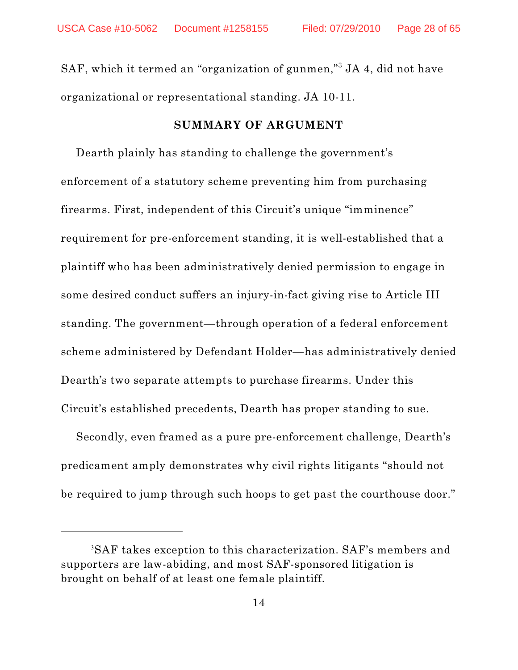SAF, which it termed an "organization of gunmen,"<sup>3</sup> JA 4, did not have organizational or representational standing. JA 10-11.

#### **SUMMARY OF ARGUMENT**

Dearth plainly has standing to challenge the government's enforcement of a statutory scheme preventing him from purchasing firearms. First, independent of this Circuit's unique "imminence" requirement for pre-enforcement standing, it is well-established that a plaintiff who has been administratively denied permission to engage in some desired conduct suffers an injury-in-fact giving rise to Article III standing. The government—through operation of a federal enforcement scheme administered by Defendant Holder—has administratively denied Dearth's two separate attempts to purchase firearms. Under this Circuit's established precedents, Dearth has proper standing to sue.

Secondly, even framed as a pure pre-enforcement challenge, Dearth's predicament amply demonstrates why civil rights litigants "should not be required to jump through such hoops to get past the courthouse door."

 ${}^{3}\mathrm{SAF}$  takes exception to this characterization.  $\mathrm{SAF}$ 's members and supporters are law-abiding, and most SAF-sponsored litigation is brought on behalf of at least one female plaintiff.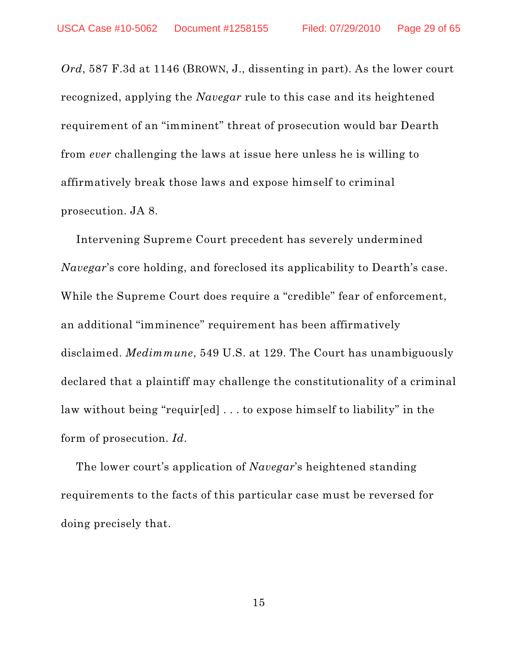*Ord*, 587 F.3d at 1146 (BROWN, J., dissenting in part). As the lower court recognized, applying the *Navegar* rule to this case and its heightened requirement of an "imminent" threat of prosecution would bar Dearth from *ever* challenging the laws at issue here unless he is willing to affirmatively break those laws and expose himself to criminal prosecution. JA 8.

Intervening Supreme Court precedent has severely undermined *Navegar*'s core holding, and foreclosed its applicability to Dearth's case. While the Supreme Court does require a "credible" fear of enforcement, an additional "imminence" requirement has been affirmatively disclaimed. *Medimmune*, 549 U.S. at 129. The Court has unambiguously declared that a plaintiff may challenge the constitutionality of a criminal law without being "requir[ed] . . . to expose himself to liability" in the form of prosecution. *Id*.

The lower court's application of *Navegar*'s heightened standing requirements to the facts of this particular case must be reversed for doing precisely that.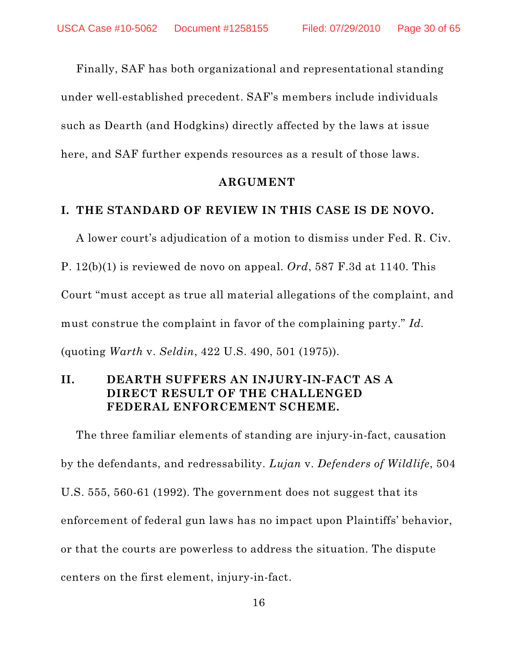Finally, SAF has both organizational and representational standing under well-established precedent. SAF's members include individuals such as Dearth (and Hodgkins) directly affected by the laws at issue here, and SAF further expends resources as a result of those laws.

#### **ARGUMENT**

#### **I. THE STANDARD OF REVIEW IN THIS CASE IS DE NOVO.**

A lower court's adjudication of a motion to dismiss under Fed. R. Civ. P. 12(b)(1) is reviewed de novo on appeal. *Ord*, 587 F.3d at 1140. This Court "must accept as true all material allegations of the complaint, and must construe the complaint in favor of the complaining party." *Id.* (quoting *Warth* v. *Seldin*, 422 U.S. 490, 501 (1975)).

# **II. DEARTH SUFFERS AN INJURY-IN-FACT AS A DIRECT RESULT OF THE CHALLENGED FEDERAL ENFORCEMENT SCHEME.**

The three familiar elements of standing are injury-in-fact, causation by the defendants, and redressability. *Lujan* v. *Defenders of Wildlife*, 504 U.S. 555, 560-61 (1992). The government does not suggest that its enforcement of federal gun laws has no impact upon Plaintiffs' behavior, or that the courts are powerless to address the situation. The dispute centers on the first element, injury-in-fact.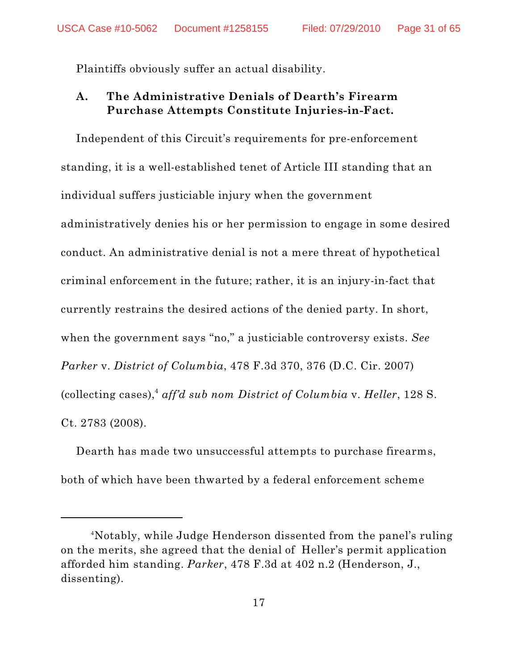Plaintiffs obviously suffer an actual disability.

# **A. The Administrative Denials of Dearth's Firearm Purchase Attempts Constitute Injuries-in-Fact.**

Independent of this Circuit's requirements for pre-enforcement standing, it is a well-established tenet of Article III standing that an individual suffers justiciable injury when the government administratively denies his or her permission to engage in some desired conduct. An administrative denial is not a mere threat of hypothetical criminal enforcement in the future; rather, it is an injury-in-fact that currently restrains the desired actions of the denied party. In short, when the government says "no," a justiciable controversy exists. *See Parker* v. *District of Columbia*, 478 F.3d 370, 376 (D.C. Cir. 2007) (collecting cases),<sup>4</sup> aff'd sub nom District of Columbia v. Heller, 128 S. Ct. 2783 (2008).

Dearth has made two unsuccessful attempts to purchase firearms, both of which have been thwarted by a federal enforcement scheme

Notably, while Judge Henderson dissented from the panel's ruling 4 on the merits, she agreed that the denial of Heller's permit application afforded him standing. *Parker*, 478 F.3d at 402 n.2 (Henderson, J., dissenting).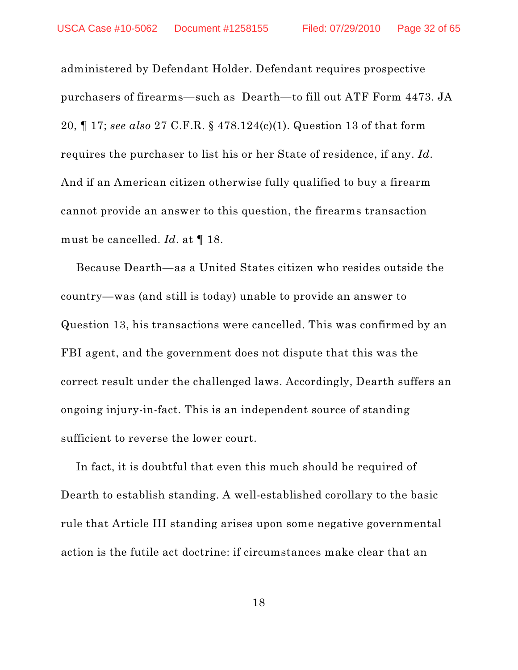administered by Defendant Holder. Defendant requires prospective purchasers of firearms—such as Dearth—to fill out ATF Form 4473. JA 20, ¶ 17; *see also* 27 C.F.R. § 478.124(c)(1). Question 13 of that form requires the purchaser to list his or her State of residence, if any. *Id*. And if an American citizen otherwise fully qualified to buy a firearm cannot provide an answer to this question, the firearms transaction must be cancelled. *Id*. at ¶ 18.

Because Dearth—as a United States citizen who resides outside the country—was (and still is today) unable to provide an answer to Question 13, his transactions were cancelled. This was confirmed by an FBI agent, and the government does not dispute that this was the correct result under the challenged laws. Accordingly, Dearth suffers an ongoing injury-in-fact. This is an independent source of standing sufficient to reverse the lower court.

In fact, it is doubtful that even this much should be required of Dearth to establish standing. A well-established corollary to the basic rule that Article III standing arises upon some negative governmental action is the futile act doctrine: if circumstances make clear that an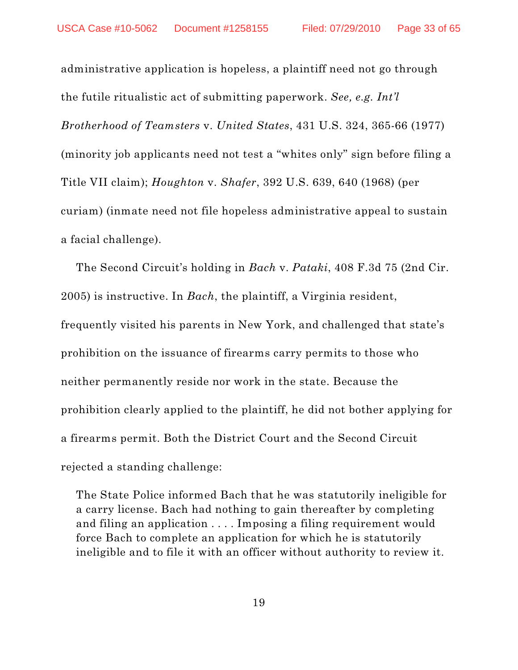administrative application is hopeless, a plaintiff need not go through the futile ritualistic act of submitting paperwork. *See, e.g. Int'l Brotherhood of Teamsters* v. *United States*, 431 U.S. 324, 365-66 (1977) (minority job applicants need not test a "whites only" sign before filing a Title VII claim); *Houghton* v. *Shafer*, 392 U.S. 639, 640 (1968) (per curiam) (inmate need not file hopeless administrative appeal to sustain a facial challenge).

The Second Circuit's holding in *Bach* v. *Pataki*, 408 F.3d 75 (2nd Cir. 2005) is instructive. In *Bach*, the plaintiff, a Virginia resident, frequently visited his parents in New York, and challenged that state's prohibition on the issuance of firearms carry permits to those who neither permanently reside nor work in the state. Because the prohibition clearly applied to the plaintiff, he did not bother applying for a firearms permit. Both the District Court and the Second Circuit rejected a standing challenge:

The State Police informed Bach that he was statutorily ineligible for a carry license. Bach had nothing to gain thereafter by completing and filing an application . . . . Imposing a filing requirement would force Bach to complete an application for which he is statutorily ineligible and to file it with an officer without authority to review it.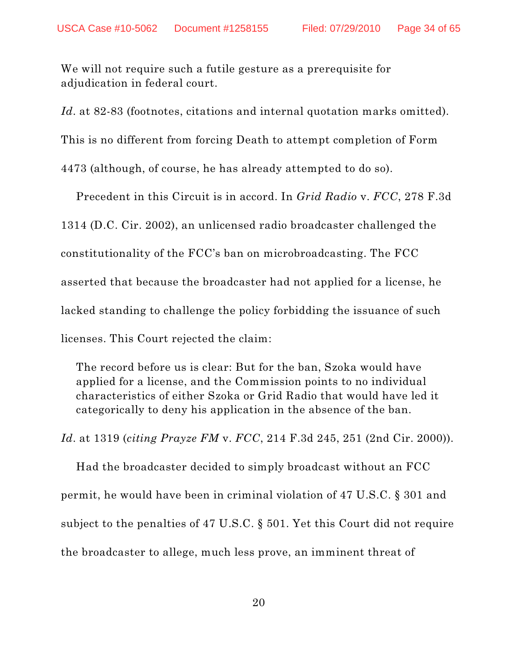We will not require such a futile gesture as a prerequisite for adjudication in federal court.

Id. at 82-83 (footnotes, citations and internal quotation marks omitted).

This is no different from forcing Death to attempt completion of Form

4473 (although, of course, he has already attempted to do so).

Precedent in this Circuit is in accord. In *Grid Radio* v. *FCC*, 278 F.3d 1314 (D.C. Cir. 2002), an unlicensed radio broadcaster challenged the constitutionality of the FCC's ban on microbroadcasting. The FCC asserted that because the broadcaster had not applied for a license, he lacked standing to challenge the policy forbidding the issuance of such licenses. This Court rejected the claim:

The record before us is clear: But for the ban, Szoka would have applied for a license, and the Commission points to no individual characteristics of either Szoka or Grid Radio that would have led it categorically to deny his application in the absence of the ban.

*Id*. at 1319 (*citing Prayze FM* v. *FCC*, 214 F.3d 245, 251 (2nd Cir. 2000)).

Had the broadcaster decided to simply broadcast without an FCC permit, he would have been in criminal violation of 47 U.S.C. § 301 and subject to the penalties of 47 U.S.C. § 501. Yet this Court did not require the broadcaster to allege, much less prove, an imminent threat of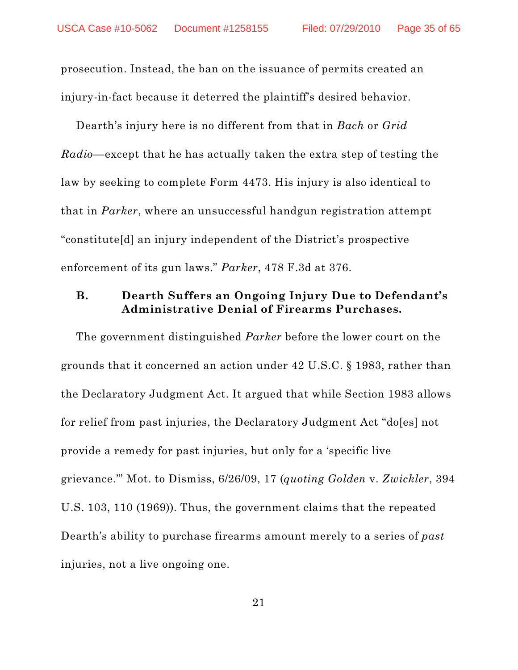prosecution. Instead, the ban on the issuance of permits created an injury-in-fact because it deterred the plaintiff's desired behavior.

Dearth's injury here is no different from that in *Bach* or *Grid Radio*—except that he has actually taken the extra step of testing the law by seeking to complete Form 4473. His injury is also identical to that in *Parker*, where an unsuccessful handgun registration attempt "constitute[d] an injury independent of the District's prospective enforcement of its gun laws." *Parker*, 478 F.3d at 376.

# **B. Dearth Suffers an Ongoing Injury Due to Defendant's Administrative Denial of Firearms Purchases.**

The government distinguished *Parker* before the lower court on the grounds that it concerned an action under 42 U.S.C. § 1983, rather than the Declaratory Judgment Act. It argued that while Section 1983 allows for relief from past injuries, the Declaratory Judgment Act "do[es] not provide a remedy for past injuries, but only for a 'specific live grievance.'" Mot. to Dismiss, 6/26/09, 17 (*quoting Golden* v. *Zwickler*, 394 U.S. 103, 110 (1969)). Thus, the government claims that the repeated Dearth's ability to purchase firearms amount merely to a series of *past* injuries, not a live ongoing one.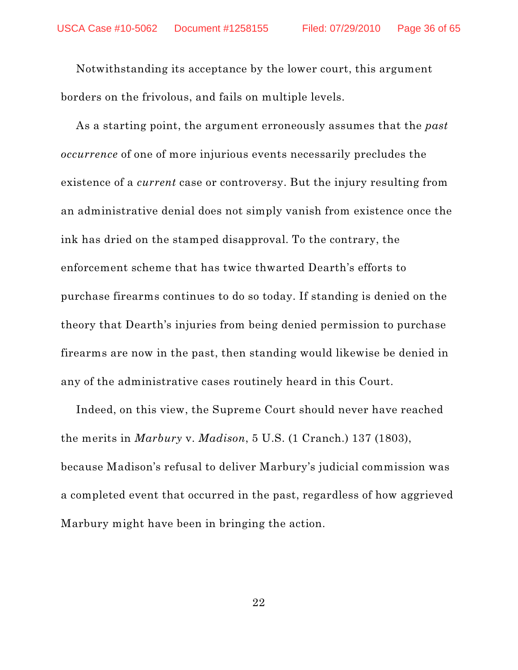Notwithstanding its acceptance by the lower court, this argument borders on the frivolous, and fails on multiple levels.

As a starting point, the argument erroneously assumes that the *past occurrence* of one of more injurious events necessarily precludes the existence of a *current* case or controversy. But the injury resulting from an administrative denial does not simply vanish from existence once the ink has dried on the stamped disapproval. To the contrary, the enforcement scheme that has twice thwarted Dearth's efforts to purchase firearms continues to do so today. If standing is denied on the theory that Dearth's injuries from being denied permission to purchase firearms are now in the past, then standing would likewise be denied in any of the administrative cases routinely heard in this Court.

Indeed, on this view, the Supreme Court should never have reached the merits in *Marbury* v. *Madison*, 5 U.S. (1 Cranch.) 137 (1803), because Madison's refusal to deliver Marbury's judicial commission was a completed event that occurred in the past, regardless of how aggrieved Marbury might have been in bringing the action.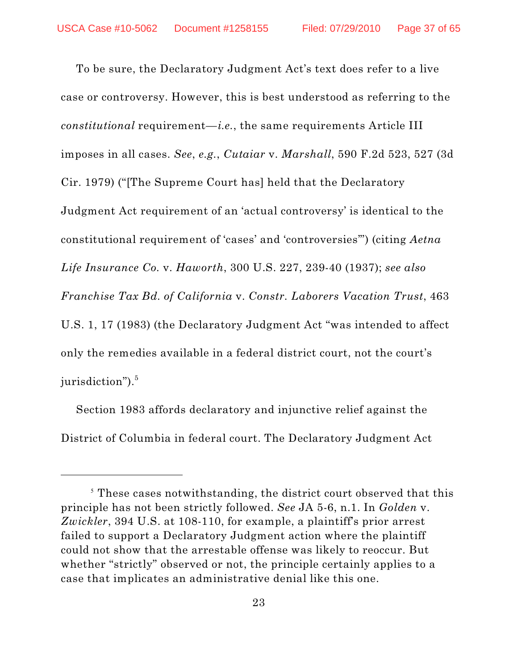To be sure, the Declaratory Judgment Act's text does refer to a live case or controversy. However, this is best understood as referring to the *constitutional* requirement—*i.e.*, the same requirements Article III imposes in all cases. *See*, *e.g.*, *Cutaiar* v. *Marshall*, 590 F.2d 523, 527 (3d Cir. 1979) ("[The Supreme Court has] held that the Declaratory Judgment Act requirement of an 'actual controversy' is identical to the constitutional requirement of 'cases' and 'controversies'") (citing *Aetna Life Insurance Co.* v. *Haworth*, 300 U.S. 227, 239-40 (1937); *see also Franchise Tax Bd. of California* v. *Constr. Laborers Vacation Trust*, 463 U.S. 1, 17 (1983) (the Declaratory Judgment Act "was intended to affect only the remedies available in a federal district court, not the court's  $\rm{surisdiction}$ "). $^5$ 

Section 1983 affords declaratory and injunctive relief against the District of Columbia in federal court. The Declaratory Judgment Act

 $5$  These cases notwithstanding, the district court observed that this principle has not been strictly followed. *See* JA 5-6, n.1. In *Golden* v. *Zwickler*, 394 U.S. at 108-110, for example, a plaintiff's prior arrest failed to support a Declaratory Judgment action where the plaintiff could not show that the arrestable offense was likely to reoccur. But whether "strictly" observed or not, the principle certainly applies to a case that implicates an administrative denial like this one.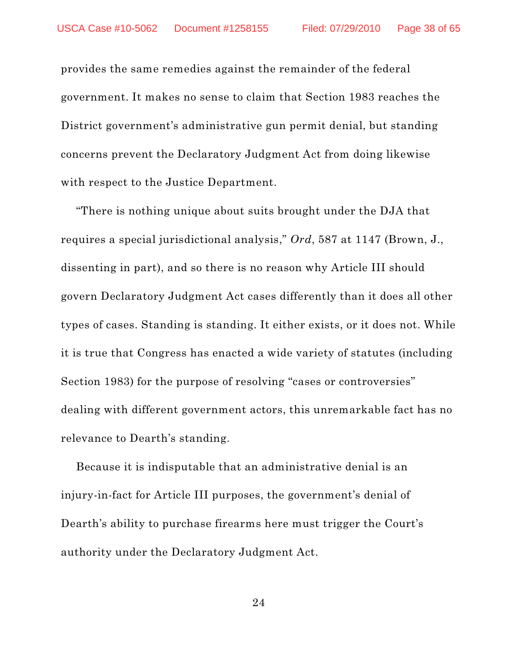provides the same remedies against the remainder of the federal government. It makes no sense to claim that Section 1983 reaches the District government's administrative gun permit denial, but standing concerns prevent the Declaratory Judgment Act from doing likewise with respect to the Justice Department.

"There is nothing unique about suits brought under the DJA that requires a special jurisdictional analysis," *Ord*, 587 at 1147 (Brown, J., dissenting in part), and so there is no reason why Article III should govern Declaratory Judgment Act cases differently than it does all other types of cases. Standing is standing. It either exists, or it does not. While it is true that Congress has enacted a wide variety of statutes (including Section 1983) for the purpose of resolving "cases or controversies" dealing with different government actors, this unremarkable fact has no relevance to Dearth's standing.

Because it is indisputable that an administrative denial is an injury-in-fact for Article III purposes, the government's denial of Dearth's ability to purchase firearms here must trigger the Court's authority under the Declaratory Judgment Act.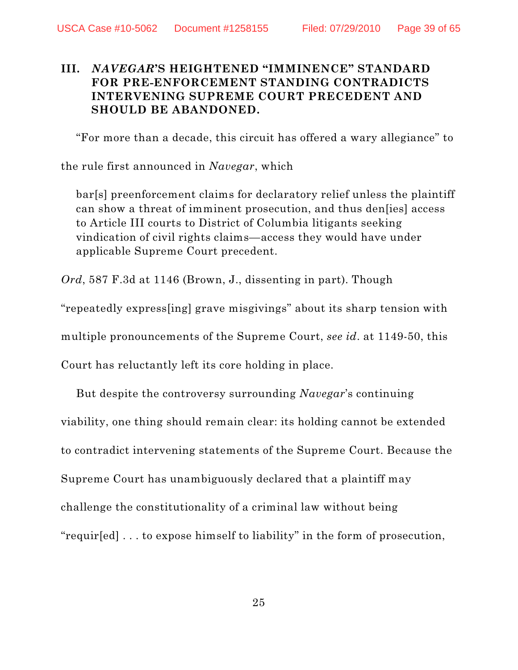# **III.** *NAVEGAR***'S HEIGHTENED "IMMINENCE" STANDARD FOR PRE-ENFORCEMENT STANDING CONTRADICTS INTERVENING SUPREME COURT PRECEDENT AND SHOULD BE ABANDONED.**

"For more than a decade, this circuit has offered a wary allegiance" to

the rule first announced in *Navegar*, which

bar[s] preenforcement claims for declaratory relief unless the plaintiff can show a threat of imminent prosecution, and thus den[ies] access to Article III courts to District of Columbia litigants seeking vindication of civil rights claims—access they would have under applicable Supreme Court precedent.

*Ord*, 587 F.3d at 1146 (Brown, J., dissenting in part). Though

"repeatedly express[ing] grave misgivings" about its sharp tension with

multiple pronouncements of the Supreme Court, *see id*. at 1149-50, this

Court has reluctantly left its core holding in place.

But despite the controversy surrounding *Navegar*'s continuing viability, one thing should remain clear: its holding cannot be extended to contradict intervening statements of the Supreme Court. Because the Supreme Court has unambiguously declared that a plaintiff may challenge the constitutionality of a criminal law without being "requir[ed] . . . to expose himself to liability" in the form of prosecution,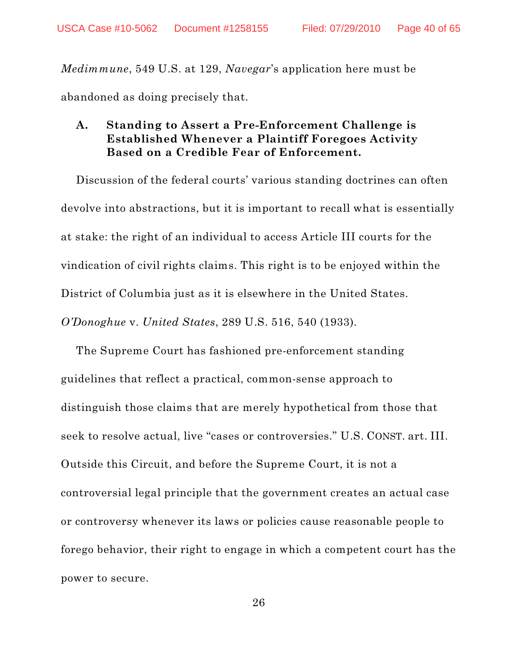*Medimmune*, 549 U.S. at 129, *Navegar*'s application here must be abandoned as doing precisely that.

# **A. Standing to Assert a Pre-Enforcement Challenge is Established Whenever a Plaintiff Foregoes Activity Based on a Credible Fear of Enforcement.**

Discussion of the federal courts' various standing doctrines can often devolve into abstractions, but it is important to recall what is essentially at stake: the right of an individual to access Article III courts for the vindication of civil rights claims. This right is to be enjoyed within the District of Columbia just as it is elsewhere in the United States. *O'Donoghue* v. *United States*, 289 U.S. 516, 540 (1933).

The Supreme Court has fashioned pre-enforcement standing guidelines that reflect a practical, common-sense approach to distinguish those claims that are merely hypothetical from those that seek to resolve actual, live "cases or controversies." U.S. CONST. art. III. Outside this Circuit, and before the Supreme Court, it is not a controversial legal principle that the government creates an actual case or controversy whenever its laws or policies cause reasonable people to forego behavior, their right to engage in which a competent court has the power to secure.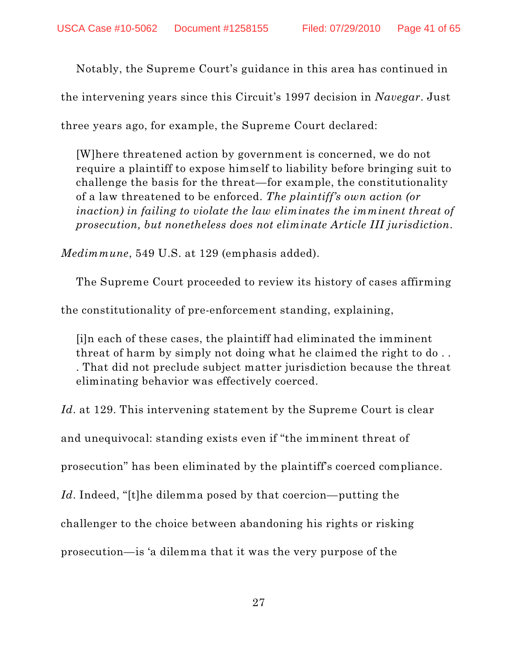Notably, the Supreme Court's guidance in this area has continued in

the intervening years since this Circuit's 1997 decision in *Navegar*. Just

three years ago, for example, the Supreme Court declared:

[W]here threatened action by government is concerned, we do not require a plaintiff to expose himself to liability before bringing suit to challenge the basis for the threat—for example, the constitutionality of a law threatened to be enforced. *The plaintiff's own action (or inaction) in failing to violate the law eliminates the imminent threat of prosecution, but nonetheless does not eliminate Article III jurisdiction*.

*Medimmune*, 549 U.S. at 129 (emphasis added).

The Supreme Court proceeded to review its history of cases affirming

the constitutionality of pre-enforcement standing, explaining,

[i]n each of these cases, the plaintiff had eliminated the imminent threat of harm by simply not doing what he claimed the right to do . . . That did not preclude subject matter jurisdiction because the threat eliminating behavior was effectively coerced.

*Id*. at 129. This intervening statement by the Supreme Court is clear and unequivocal: standing exists even if "the imminent threat of prosecution" has been eliminated by the plaintiff's coerced compliance. *Id*. Indeed, "[t]he dilemma posed by that coercion—putting the challenger to the choice between abandoning his rights or risking prosecution—is 'a dilemma that it was the very purpose of the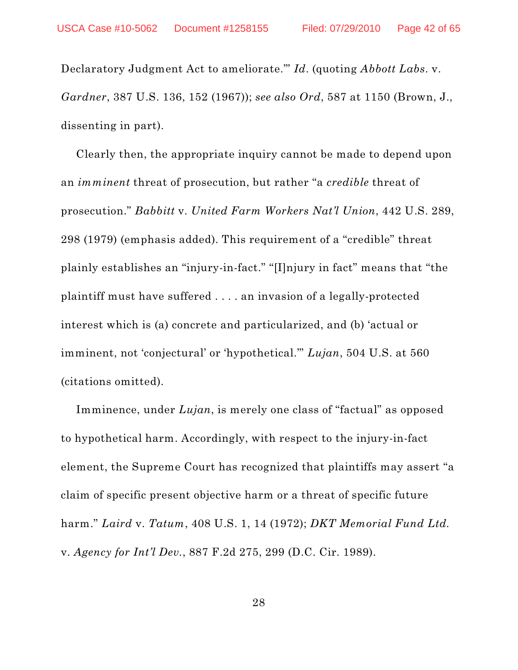Declaratory Judgment Act to ameliorate.'" *Id*. (quoting *Abbott Labs*. v. *Gardner*, 387 U.S. 136, 152 (1967)); *see also Ord*, 587 at 1150 (Brown, J., dissenting in part).

Clearly then, the appropriate inquiry cannot be made to depend upon an *imminent* threat of prosecution, but rather "a *credible* threat of prosecution." *Babbitt* v. *United Farm Workers Nat'l Union*, 442 U.S. 289, 298 (1979) (emphasis added). This requirement of a "credible" threat plainly establishes an "injury-in-fact." "[I]njury in fact" means that "the plaintiff must have suffered . . . . an invasion of a legally-protected interest which is (a) concrete and particularized, and (b) 'actual or imminent, not 'conjectural' or 'hypothetical.'" *Lujan*, 504 U.S. at 560 (citations omitted).

Imminence, under *Lujan*, is merely one class of "factual" as opposed to hypothetical harm. Accordingly, with respect to the injury-in-fact element, the Supreme Court has recognized that plaintiffs may assert "a claim of specific present objective harm or a threat of specific future harm." *Laird* v. *Tatum*, 408 U.S. 1, 14 (1972); *DKT Memorial Fund Ltd.* v. *Agency for Int'l Dev.*, 887 F.2d 275, 299 (D.C. Cir. 1989).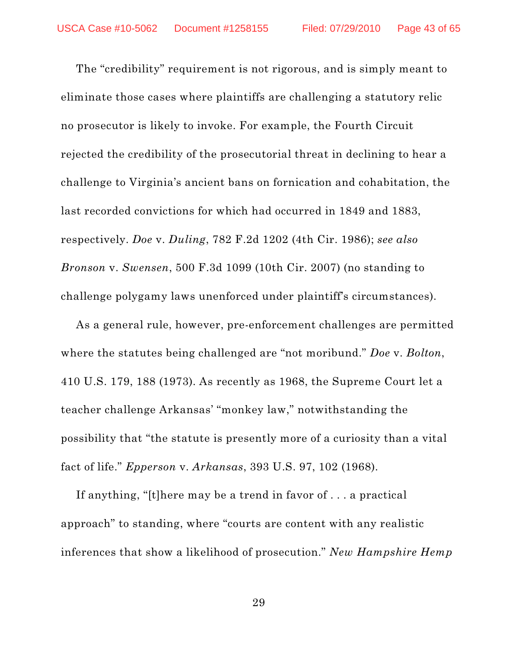The "credibility" requirement is not rigorous, and is simply meant to eliminate those cases where plaintiffs are challenging a statutory relic no prosecutor is likely to invoke. For example, the Fourth Circuit rejected the credibility of the prosecutorial threat in declining to hear a challenge to Virginia's ancient bans on fornication and cohabitation, the last recorded convictions for which had occurred in 1849 and 1883, respectively. *Doe* v. *Duling*, 782 F.2d 1202 (4th Cir. 1986); *see also Bronson* v. *Swensen*, 500 F.3d 1099 (10th Cir. 2007) (no standing to challenge polygamy laws unenforced under plaintiff's circumstances).

As a general rule, however, pre-enforcement challenges are permitted where the statutes being challenged are "not moribund." *Doe* v. *Bolton*, 410 U.S. 179, 188 (1973). As recently as 1968, the Supreme Court let a teacher challenge Arkansas' "monkey law," notwithstanding the possibility that "the statute is presently more of a curiosity than a vital fact of life." *Epperson* v. *Arkansas*, 393 U.S. 97, 102 (1968).

If anything, "[t]here may be a trend in favor of . . . a practical approach" to standing, where "courts are content with any realistic inferences that show a likelihood of prosecution." *New Hampshire Hemp*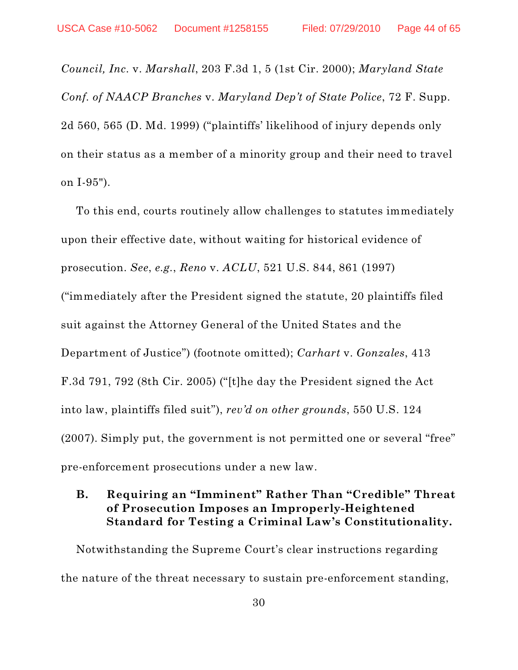*Council, Inc.* v. *Marshall*, 203 F.3d 1, 5 (1st Cir. 2000); *Maryland State Conf. of NAACP Branches* v. *Maryland Dep't of State Police*, 72 F. Supp. 2d 560, 565 (D. Md. 1999) ("plaintiffs' likelihood of injury depends only on their status as a member of a minority group and their need to travel on I-95").

To this end, courts routinely allow challenges to statutes immediately upon their effective date, without waiting for historical evidence of prosecution. *See*, *e.g.*, *Reno* v. *ACLU*, 521 U.S. 844, 861 (1997) ("immediately after the President signed the statute, 20 plaintiffs filed suit against the Attorney General of the United States and the Department of Justice") (footnote omitted); *Carhart* v. *Gonzales*, 413 F.3d 791, 792 (8th Cir. 2005) ("[t]he day the President signed the Act into law, plaintiffs filed suit"), *rev'd on other grounds*, 550 U.S. 124 (2007). Simply put, the government is not permitted one or several "free" pre-enforcement prosecutions under a new law.

# **B. Requiring an "Imminent" Rather Than "Credible" Threat of Prosecution Imposes an Improperly-Heightened Standard for Testing a Criminal Law's Constitutionality.**

Notwithstanding the Supreme Court's clear instructions regarding the nature of the threat necessary to sustain pre-enforcement standing,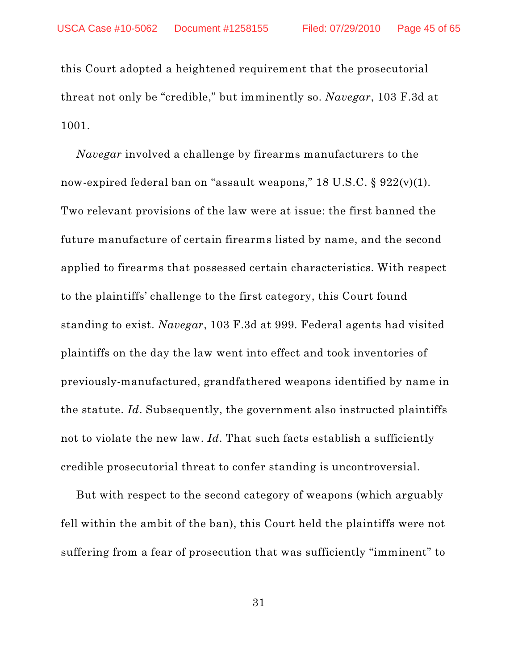this Court adopted a heightened requirement that the prosecutorial threat not only be "credible," but imminently so. *Navegar*, 103 F.3d at 1001.

*Navegar* involved a challenge by firearms manufacturers to the now-expired federal ban on "assault weapons," 18 U.S.C. § 922(v)(1). Two relevant provisions of the law were at issue: the first banned the future manufacture of certain firearms listed by name, and the second applied to firearms that possessed certain characteristics. With respect to the plaintiffs' challenge to the first category, this Court found standing to exist. *Navegar*, 103 F.3d at 999. Federal agents had visited plaintiffs on the day the law went into effect and took inventories of previously-manufactured, grandfathered weapons identified by name in the statute. *Id*. Subsequently, the government also instructed plaintiffs not to violate the new law. *Id*. That such facts establish a sufficiently credible prosecutorial threat to confer standing is uncontroversial.

But with respect to the second category of weapons (which arguably fell within the ambit of the ban), this Court held the plaintiffs were not suffering from a fear of prosecution that was sufficiently "imminent" to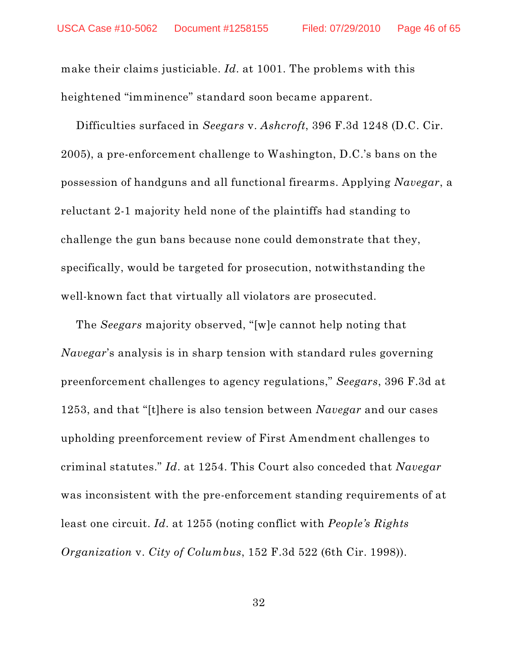make their claims justiciable. *Id*. at 1001. The problems with this heightened "imminence" standard soon became apparent.

Difficulties surfaced in *Seegars* v. *Ashcroft*, 396 F.3d 1248 (D.C. Cir. 2005), a pre-enforcement challenge to Washington, D.C.'s bans on the possession of handguns and all functional firearms. Applying *Navegar*, a reluctant 2-1 majority held none of the plaintiffs had standing to challenge the gun bans because none could demonstrate that they, specifically, would be targeted for prosecution, notwithstanding the well-known fact that virtually all violators are prosecuted.

The *Seegars* majority observed, "[w]e cannot help noting that *Navegar*'s analysis is in sharp tension with standard rules governing preenforcement challenges to agency regulations," *Seegars*, 396 F.3d at 1253, and that "[t]here is also tension between *Navegar* and our cases upholding preenforcement review of First Amendment challenges to criminal statutes." *Id*. at 1254. This Court also conceded that *Navegar* was inconsistent with the pre-enforcement standing requirements of at least one circuit. *Id*. at 1255 (noting conflict with *People's Rights Organization* v. *City of Columbus*, 152 F.3d 522 (6th Cir. 1998)).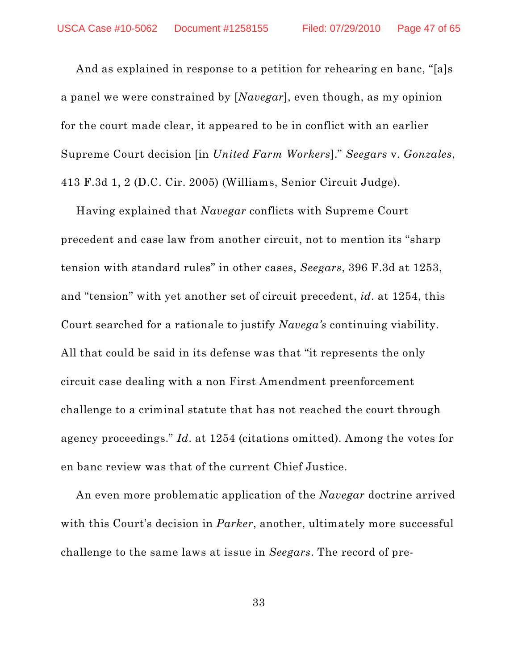And as explained in response to a petition for rehearing en banc, "[a]s a panel we were constrained by [*Navegar*], even though, as my opinion for the court made clear, it appeared to be in conflict with an earlier Supreme Court decision [in *United Farm Workers*]." *Seegars* v. *Gonzales*, 413 F.3d 1, 2 (D.C. Cir. 2005) (Williams, Senior Circuit Judge).

Having explained that *Navegar* conflicts with Supreme Court precedent and case law from another circuit, not to mention its "sharp tension with standard rules" in other cases, *Seegars*, 396 F.3d at 1253, and "tension" with yet another set of circuit precedent, *id*. at 1254, this Court searched for a rationale to justify *Navega's* continuing viability. All that could be said in its defense was that "it represents the only circuit case dealing with a non First Amendment preenforcement challenge to a criminal statute that has not reached the court through agency proceedings." *Id*. at 1254 (citations omitted). Among the votes for en banc review was that of the current Chief Justice.

An even more problematic application of the *Navegar* doctrine arrived with this Court's decision in *Parker*, another, ultimately more successful challenge to the same laws at issue in *Seegars*. The record of pre-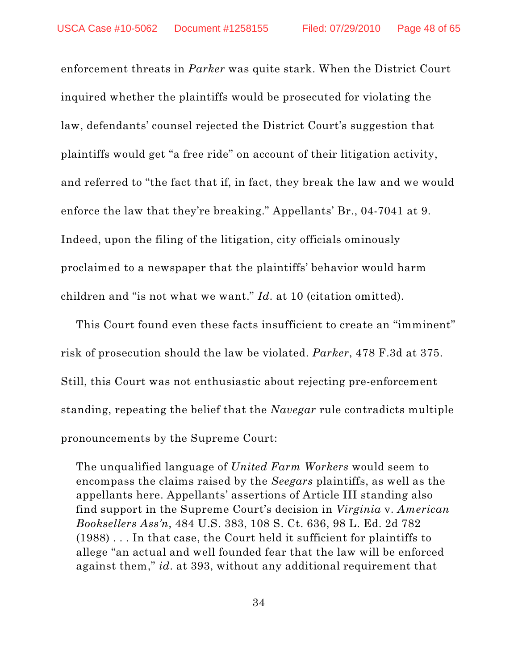enforcement threats in *Parker* was quite stark. When the District Court inquired whether the plaintiffs would be prosecuted for violating the law, defendants' counsel rejected the District Court's suggestion that plaintiffs would get "a free ride" on account of their litigation activity, and referred to "the fact that if, in fact, they break the law and we would enforce the law that they're breaking." Appellants' Br., 04-7041 at 9. Indeed, upon the filing of the litigation, city officials ominously proclaimed to a newspaper that the plaintiffs' behavior would harm children and "is not what we want." *Id*. at 10 (citation omitted).

This Court found even these facts insufficient to create an "imminent" risk of prosecution should the law be violated. *Parker*, 478 F.3d at 375. Still, this Court was not enthusiastic about rejecting pre-enforcement standing, repeating the belief that the *Navegar* rule contradicts multiple pronouncements by the Supreme Court:

The unqualified language of *United Farm Workers* would seem to encompass the claims raised by the *Seegars* plaintiffs, as well as the appellants here. Appellants' assertions of Article III standing also find support in the Supreme Court's decision in *Virginia* v. *American Booksellers Ass'n*, 484 U.S. 383, 108 S. Ct. 636, 98 L. Ed. 2d 782 (1988) . . . In that case, the Court held it sufficient for plaintiffs to allege "an actual and well founded fear that the law will be enforced against them," *id*. at 393, without any additional requirement that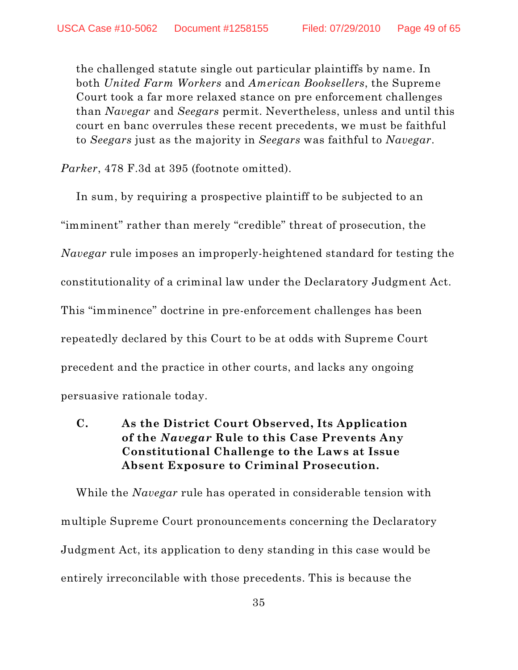the challenged statute single out particular plaintiffs by name. In both *United Farm Workers* and *American Booksellers*, the Supreme Court took a far more relaxed stance on pre enforcement challenges than *Navegar* and *Seegars* permit. Nevertheless, unless and until this court en banc overrules these recent precedents, we must be faithful to *Seegars* just as the majority in *Seegars* was faithful to *Navegar*.

*Parker*, 478 F.3d at 395 (footnote omitted).

In sum, by requiring a prospective plaintiff to be subjected to an "imminent" rather than merely "credible" threat of prosecution, the *Navegar* rule imposes an improperly-heightened standard for testing the constitutionality of a criminal law under the Declaratory Judgment Act. This "imminence" doctrine in pre-enforcement challenges has been repeatedly declared by this Court to be at odds with Supreme Court precedent and the practice in other courts, and lacks any ongoing persuasive rationale today.

# **C. As the District Court Observed, Its Application of the** *Navegar* **Rule to this Case Prevents Any Constitutional Challenge to the Laws at Issue Absent Exposure to Criminal Prosecution.**

While the *Navegar* rule has operated in considerable tension with multiple Supreme Court pronouncements concerning the Declaratory Judgment Act, its application to deny standing in this case would be entirely irreconcilable with those precedents. This is because the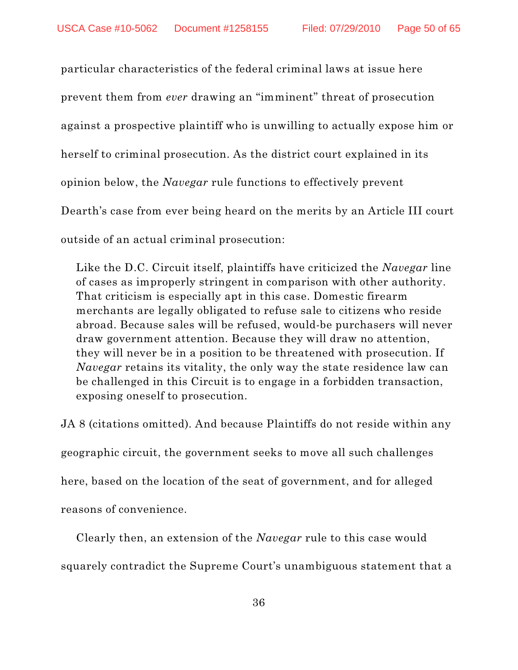particular characteristics of the federal criminal laws at issue here prevent them from *ever* drawing an "imminent" threat of prosecution against a prospective plaintiff who is unwilling to actually expose him or herself to criminal prosecution. As the district court explained in its opinion below, the *Navegar* rule functions to effectively prevent Dearth's case from ever being heard on the merits by an Article III court outside of an actual criminal prosecution:

Like the D.C. Circuit itself, plaintiffs have criticized the *Navegar* line of cases as improperly stringent in comparison with other authority. That criticism is especially apt in this case. Domestic firearm merchants are legally obligated to refuse sale to citizens who reside abroad. Because sales will be refused, would-be purchasers will never draw government attention. Because they will draw no attention, they will never be in a position to be threatened with prosecution. If *Navegar* retains its vitality, the only way the state residence law can be challenged in this Circuit is to engage in a forbidden transaction, exposing oneself to prosecution.

JA 8 (citations omitted). And because Plaintiffs do not reside within any geographic circuit, the government seeks to move all such challenges here, based on the location of the seat of government, and for alleged reasons of convenience.

Clearly then, an extension of the *Navegar* rule to this case would squarely contradict the Supreme Court's unambiguous statement that a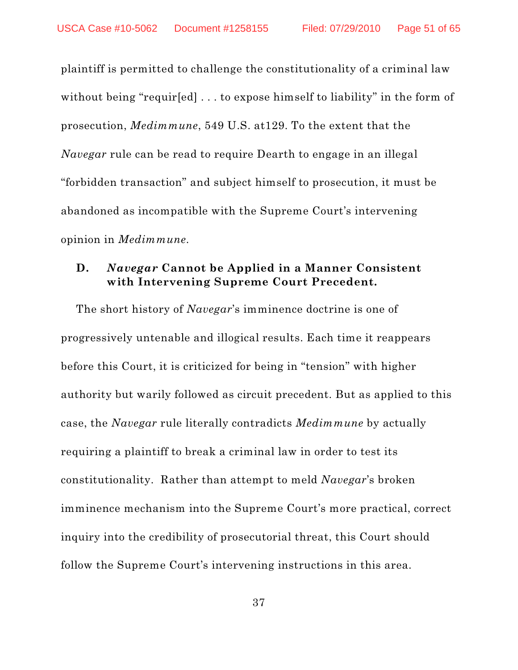plaintiff is permitted to challenge the constitutionality of a criminal law without being "requir[ed] ... to expose himself to liability" in the form of prosecution, *Medimmune*, 549 U.S. at129. To the extent that the *Navegar* rule can be read to require Dearth to engage in an illegal "forbidden transaction" and subject himself to prosecution, it must be abandoned as incompatible with the Supreme Court's intervening opinion in *Medimmune*.

### **D.** *Navegar* **Cannot be Applied in a Manner Consistent with Intervening Supreme Court Precedent.**

The short history of *Navegar*'s imminence doctrine is one of progressively untenable and illogical results. Each time it reappears before this Court, it is criticized for being in "tension" with higher authority but warily followed as circuit precedent. But as applied to this case, the *Navegar* rule literally contradicts *Medimmune* by actually requiring a plaintiff to break a criminal law in order to test its constitutionality. Rather than attempt to meld *Navegar*'s broken imminence mechanism into the Supreme Court's more practical, correct inquiry into the credibility of prosecutorial threat, this Court should follow the Supreme Court's intervening instructions in this area.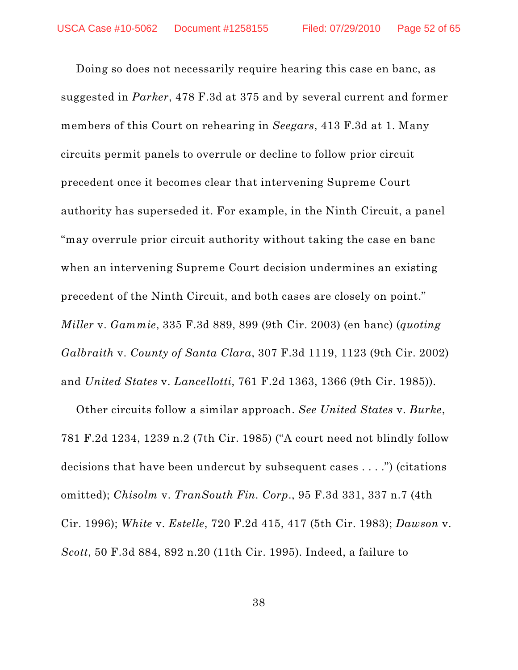Doing so does not necessarily require hearing this case en banc, as suggested in *Parker*, 478 F.3d at 375 and by several current and former members of this Court on rehearing in *Seegars*, 413 F.3d at 1. Many circuits permit panels to overrule or decline to follow prior circuit precedent once it becomes clear that intervening Supreme Court authority has superseded it. For example, in the Ninth Circuit, a panel "may overrule prior circuit authority without taking the case en banc when an intervening Supreme Court decision undermines an existing precedent of the Ninth Circuit, and both cases are closely on point." *Miller* v. *Gammie*, 335 F.3d 889, 899 (9th Cir. 2003) (en banc) (*quoting Galbraith* v. *County of Santa Clara*, 307 F.3d 1119, 1123 (9th Cir. 2002) and *United States* v. *Lancellotti*, 761 F.2d 1363, 1366 (9th Cir. 1985)).

Other circuits follow a similar approach. *See United States* v. *Burke*, 781 F.2d 1234, 1239 n.2 (7th Cir. 1985) ("A court need not blindly follow decisions that have been undercut by subsequent cases . . . .") (citations omitted); *Chisolm* v. *TranSouth Fin. Corp*., 95 F.3d 331, 337 n.7 (4th Cir. 1996); *White* v. *Estelle*, 720 F.2d 415, 417 (5th Cir. 1983); *Dawson* v. *Scott*, 50 F.3d 884, 892 n.20 (11th Cir. 1995). Indeed, a failure to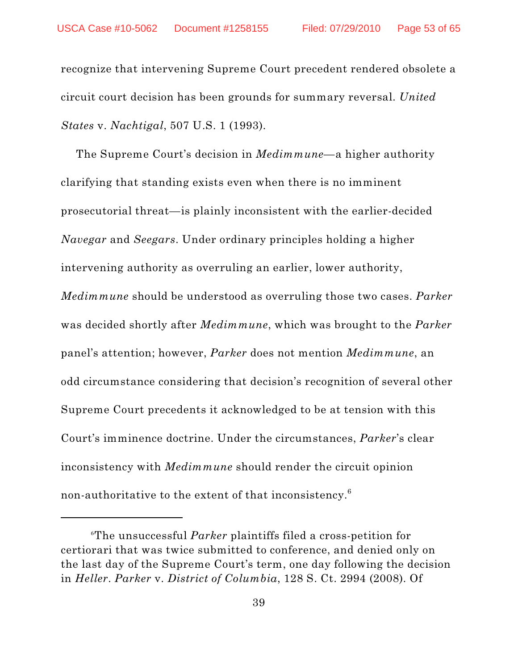recognize that intervening Supreme Court precedent rendered obsolete a circuit court decision has been grounds for summary reversal. *United States* v. *Nachtigal*, 507 U.S. 1 (1993).

The Supreme Court's decision in *Medimmune*—a higher authority clarifying that standing exists even when there is no imminent prosecutorial threat—is plainly inconsistent with the earlier-decided *Navegar* and *Seegars*. Under ordinary principles holding a higher intervening authority as overruling an earlier, lower authority, *Medimmune* should be understood as overruling those two cases. *Parker* was decided shortly after *Medimmune*, which was brought to the *Parker* panel's attention; however, *Parker* does not mention *Medimmune*, an odd circumstance considering that decision's recognition of several other Supreme Court precedents it acknowledged to be at tension with this Court's imminence doctrine. Under the circumstances, *Parker*'s clear inconsistency with *Medimmune* should render the circuit opinion non-authoritative to the extent of that inconsistency. $^6$ 

The unsuccessful *Parker* plaintiffs filed a cross-petition for 6 certiorari that was twice submitted to conference, and denied only on the last day of the Supreme Court's term, one day following the decision in *Heller*. *Parker* v. *District of Columbia*, 128 S. Ct. 2994 (2008). Of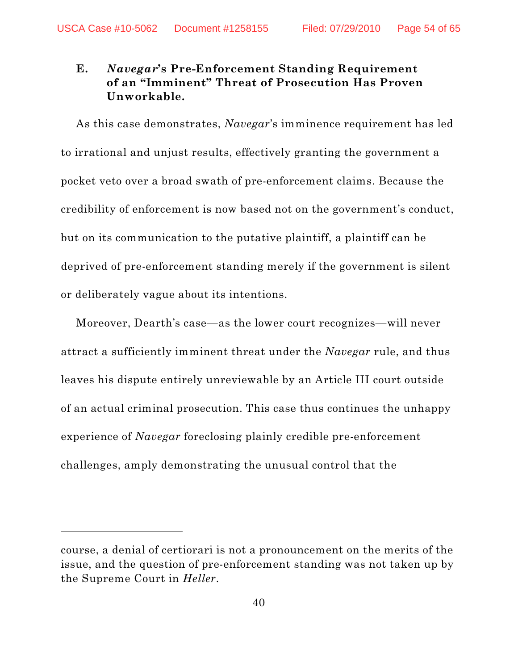# **E.** *Navegar***'s Pre-Enforcement Standing Requirement of an "Imminent" Threat of Prosecution Has Proven Unworkable.**

As this case demonstrates, *Navegar*'s imminence requirement has led to irrational and unjust results, effectively granting the government a pocket veto over a broad swath of pre-enforcement claims. Because the credibility of enforcement is now based not on the government's conduct, but on its communication to the putative plaintiff, a plaintiff can be deprived of pre-enforcement standing merely if the government is silent or deliberately vague about its intentions.

Moreover, Dearth's case—as the lower court recognizes—will never attract a sufficiently imminent threat under the *Navegar* rule, and thus leaves his dispute entirely unreviewable by an Article III court outside of an actual criminal prosecution. This case thus continues the unhappy experience of *Navegar* foreclosing plainly credible pre-enforcement challenges, amply demonstrating the unusual control that the

course, a denial of certiorari is not a pronouncement on the merits of the issue, and the question of pre-enforcement standing was not taken up by the Supreme Court in *Heller*.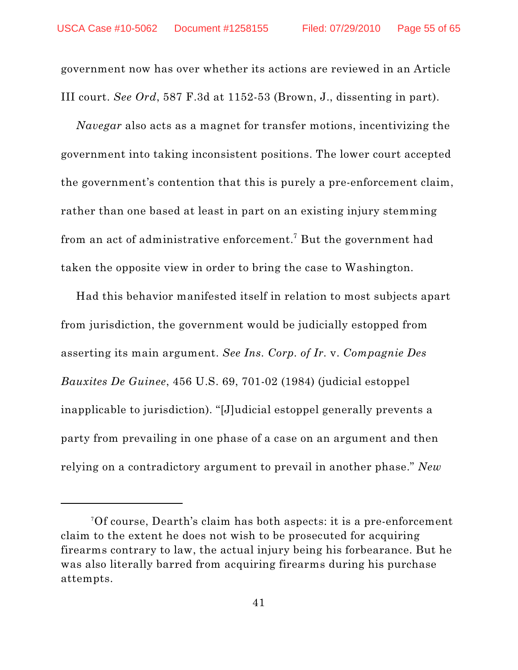government now has over whether its actions are reviewed in an Article III court. *See Ord*, 587 F.3d at 1152-53 (Brown, J., dissenting in part).

*Navegar* also acts as a magnet for transfer motions, incentivizing the government into taking inconsistent positions. The lower court accepted the government's contention that this is purely a pre-enforcement claim, rather than one based at least in part on an existing injury stemming from an act of administrative enforcement.<sup>7</sup> But the government had taken the opposite view in order to bring the case to Washington.

Had this behavior manifested itself in relation to most subjects apart from jurisdiction, the government would be judicially estopped from asserting its main argument. *See Ins. Corp. of Ir.* v. *Compagnie Des Bauxites De Guinee*, 456 U.S. 69, 701-02 (1984) (judicial estoppel inapplicable to jurisdiction). "[J]udicial estoppel generally prevents a party from prevailing in one phase of a case on an argument and then relying on a contradictory argument to prevail in another phase." *New*

 $^7\rm{Of}$  course, Dearth's claim has both aspects: it is a pre-enforcement claim to the extent he does not wish to be prosecuted for acquiring firearms contrary to law, the actual injury being his forbearance. But he was also literally barred from acquiring firearms during his purchase attempts.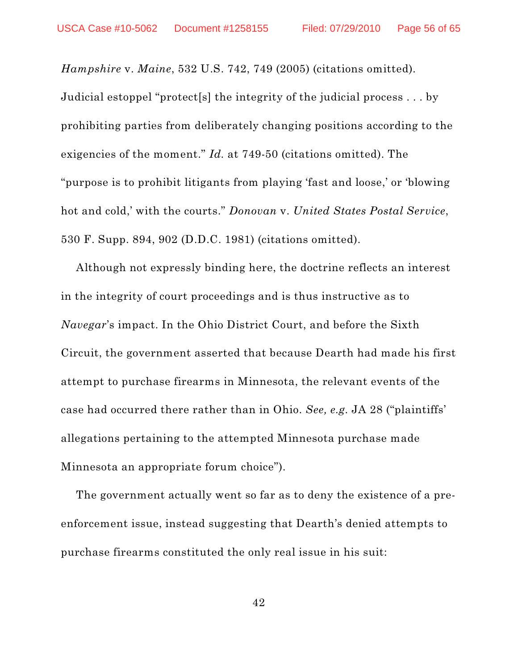*Hampshire* v. *Maine*, 532 U.S. 742, 749 (2005) (citations omitted).

Judicial estoppel "protect[s] the integrity of the judicial process . . . by prohibiting parties from deliberately changing positions according to the exigencies of the moment." *Id.* at 749-50 (citations omitted). The "purpose is to prohibit litigants from playing 'fast and loose,' or 'blowing hot and cold,' with the courts." *Donovan* v. *United States Postal Service*, 530 F. Supp. 894, 902 (D.D.C. 1981) (citations omitted).

Although not expressly binding here, the doctrine reflects an interest in the integrity of court proceedings and is thus instructive as to *Navegar*'s impact. In the Ohio District Court, and before the Sixth Circuit, the government asserted that because Dearth had made his first attempt to purchase firearms in Minnesota, the relevant events of the case had occurred there rather than in Ohio. *See, e.g.* JA 28 ("plaintiffs' allegations pertaining to the attempted Minnesota purchase made Minnesota an appropriate forum choice").

The government actually went so far as to deny the existence of a preenforcement issue, instead suggesting that Dearth's denied attempts to purchase firearms constituted the only real issue in his suit: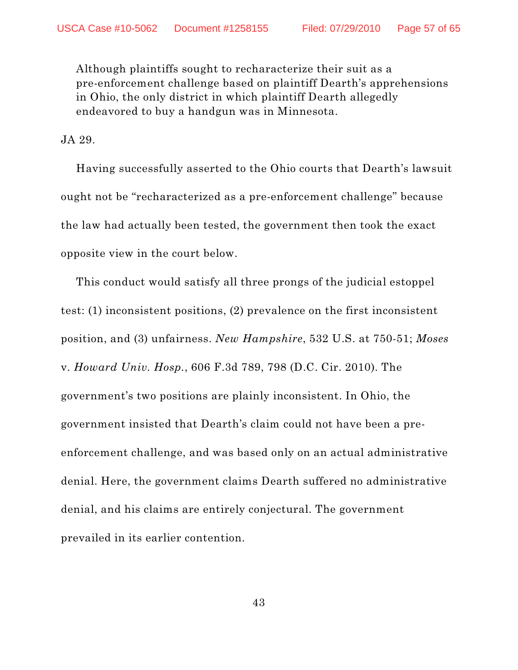Although plaintiffs sought to recharacterize their suit as a pre-enforcement challenge based on plaintiff Dearth's apprehensions in Ohio, the only district in which plaintiff Dearth allegedly endeavored to buy a handgun was in Minnesota.

JA 29.

Having successfully asserted to the Ohio courts that Dearth's lawsuit ought not be "recharacterized as a pre-enforcement challenge" because the law had actually been tested, the government then took the exact opposite view in the court below.

This conduct would satisfy all three prongs of the judicial estoppel test: (1) inconsistent positions, (2) prevalence on the first inconsistent position, and (3) unfairness. *New Hampshire*, 532 U.S. at 750-51; *Moses* v. *Howard Univ. Hosp.*, 606 F.3d 789, 798 (D.C. Cir. 2010). The government's two positions are plainly inconsistent. In Ohio, the government insisted that Dearth's claim could not have been a preenforcement challenge, and was based only on an actual administrative denial. Here, the government claims Dearth suffered no administrative denial, and his claims are entirely conjectural. The government prevailed in its earlier contention.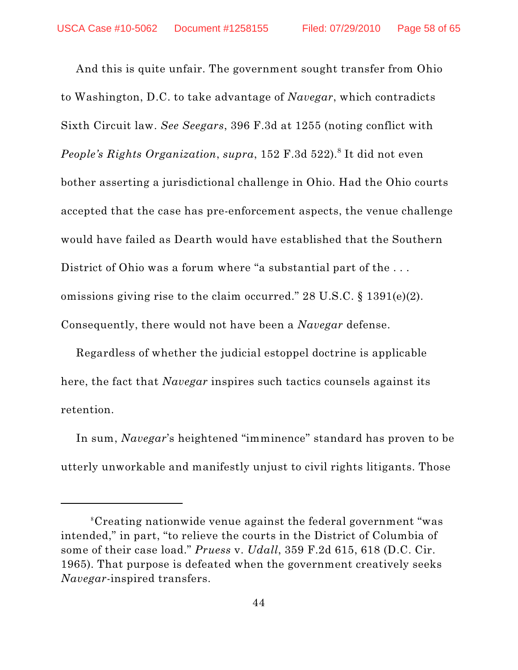And this is quite unfair. The government sought transfer from Ohio to Washington, D.C. to take advantage of *Navegar*, which contradicts Sixth Circuit law. *See Seegars*, 396 F.3d at 1255 (noting conflict with People's Rights Organization, supra, 152 F.3d 522).<sup>8</sup> It did not even bother asserting a jurisdictional challenge in Ohio. Had the Ohio courts accepted that the case has pre-enforcement aspects, the venue challenge would have failed as Dearth would have established that the Southern District of Ohio was a forum where "a substantial part of the . . . omissions giving rise to the claim occurred." 28 U.S.C. § 1391(e)(2). Consequently, there would not have been a *Navegar* defense.

Regardless of whether the judicial estoppel doctrine is applicable here, the fact that *Navegar* inspires such tactics counsels against its retention.

In sum, *Navegar*'s heightened "imminence" standard has proven to be utterly unworkable and manifestly unjust to civil rights litigants. Those

Creating nationwide venue against the federal government "was 8 intended," in part, "to relieve the courts in the District of Columbia of some of their case load." *Pruess* v. *Udall*, 359 F.2d 615, 618 (D.C. Cir. 1965). That purpose is defeated when the government creatively seeks *Navegar*-inspired transfers.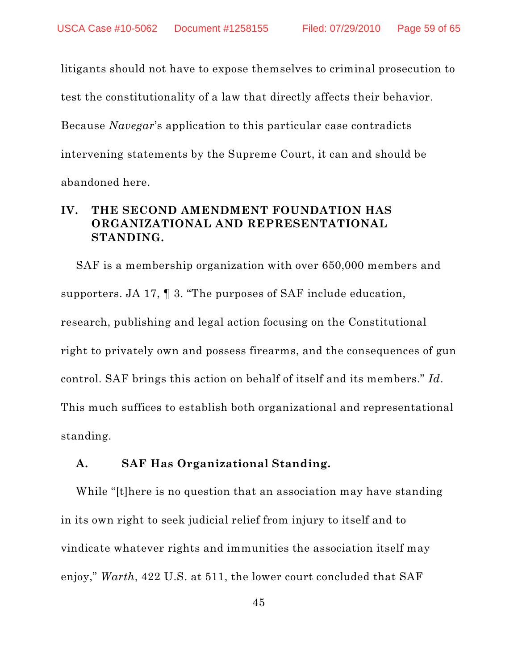litigants should not have to expose themselves to criminal prosecution to test the constitutionality of a law that directly affects their behavior. Because *Navegar*'s application to this particular case contradicts intervening statements by the Supreme Court, it can and should be abandoned here.

# **IV. THE SECOND AMENDMENT FOUNDATION HAS ORGANIZATIONAL AND REPRESENTATIONAL STANDING.**

SAF is a membership organization with over 650,000 members and supporters. JA 17, ¶ 3. "The purposes of SAF include education, research, publishing and legal action focusing on the Constitutional right to privately own and possess firearms, and the consequences of gun control. SAF brings this action on behalf of itself and its members." *Id*. This much suffices to establish both organizational and representational standing.

#### **A. SAF Has Organizational Standing.**

While "[t]here is no question that an association may have standing in its own right to seek judicial relief from injury to itself and to vindicate whatever rights and immunities the association itself may enjoy," *Warth*, 422 U.S. at 511, the lower court concluded that SAF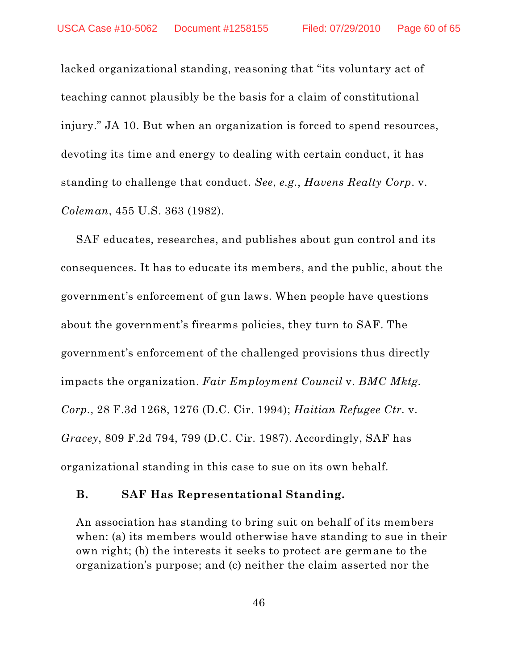lacked organizational standing, reasoning that "its voluntary act of teaching cannot plausibly be the basis for a claim of constitutional injury." JA 10. But when an organization is forced to spend resources, devoting its time and energy to dealing with certain conduct, it has standing to challenge that conduct. *See*, *e.g.*, *Havens Realty Corp*. v. *Coleman*, 455 U.S. 363 (1982).

SAF educates, researches, and publishes about gun control and its consequences. It has to educate its members, and the public, about the government's enforcement of gun laws. When people have questions about the government's firearms policies, they turn to SAF. The government's enforcement of the challenged provisions thus directly impacts the organization. *Fair Employment Council* v. *BMC Mktg. Corp.*, 28 F.3d 1268, 1276 (D.C. Cir. 1994); *Haitian Refugee Ctr.* v. *Gracey*, 809 F.2d 794, 799 (D.C. Cir. 1987). Accordingly, SAF has organizational standing in this case to sue on its own behalf.

#### **B. SAF Has Representational Standing.**

An association has standing to bring suit on behalf of its members when: (a) its members would otherwise have standing to sue in their own right; (b) the interests it seeks to protect are germane to the organization's purpose; and (c) neither the claim asserted nor the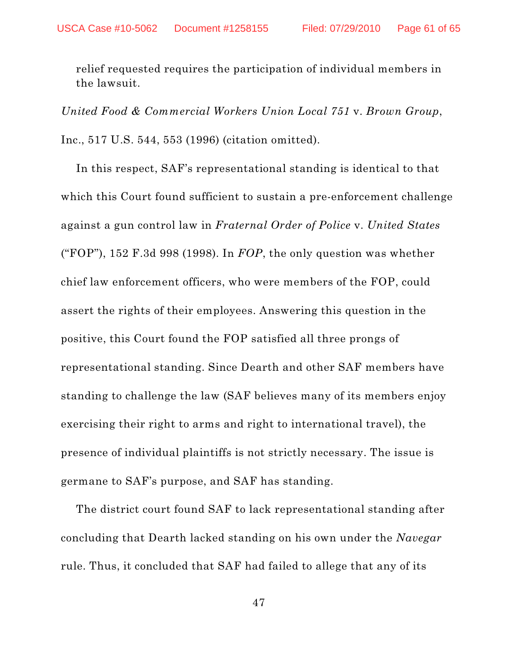relief requested requires the participation of individual members in the lawsuit.

*United Food & Commercial Workers Union Local 751* v. *Brown Group*, Inc., 517 U.S. 544, 553 (1996) (citation omitted).

In this respect, SAF's representational standing is identical to that which this Court found sufficient to sustain a pre-enforcement challenge against a gun control law in *Fraternal Order of Police* v. *United States* ("FOP"), 152 F.3d 998 (1998). In *FOP*, the only question was whether chief law enforcement officers, who were members of the FOP, could assert the rights of their employees. Answering this question in the positive, this Court found the FOP satisfied all three prongs of representational standing. Since Dearth and other SAF members have standing to challenge the law (SAF believes many of its members enjoy exercising their right to arms and right to international travel), the presence of individual plaintiffs is not strictly necessary. The issue is germane to SAF's purpose, and SAF has standing.

The district court found SAF to lack representational standing after concluding that Dearth lacked standing on his own under the *Navegar* rule. Thus, it concluded that SAF had failed to allege that any of its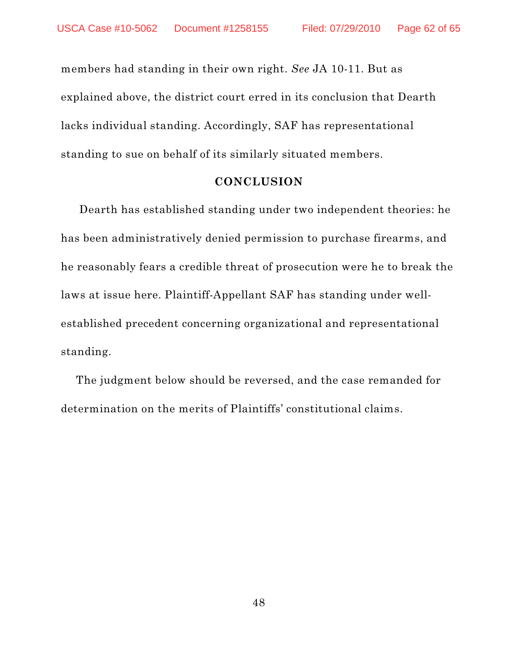members had standing in their own right. *See* JA 10-11. But as explained above, the district court erred in its conclusion that Dearth lacks individual standing. Accordingly, SAF has representational standing to sue on behalf of its similarly situated members.

#### **CONCLUSION**

Dearth has established standing under two independent theories: he has been administratively denied permission to purchase firearms, and he reasonably fears a credible threat of prosecution were he to break the laws at issue here. Plaintiff-Appellant SAF has standing under wellestablished precedent concerning organizational and representational standing.

The judgment below should be reversed, and the case remanded for determination on the merits of Plaintiffs' constitutional claims.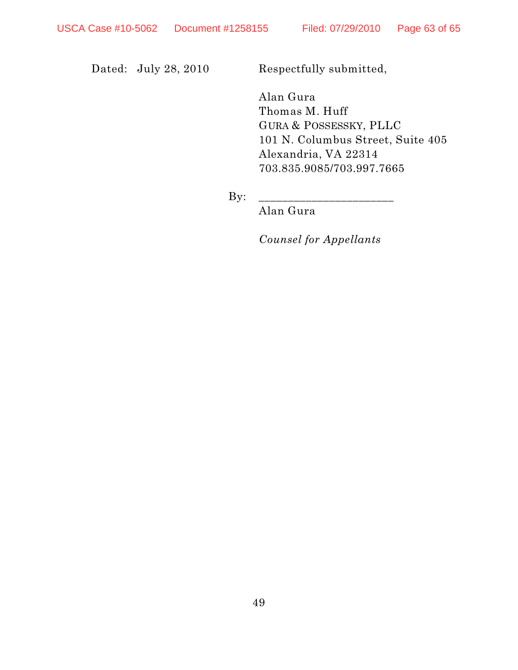Dated: July 28, 2010 Respectfully submitted,

Alan Gura Thomas M. Huff GURA & POSSESSKY, PLLC 101 N. Columbus Street, Suite 405 Alexandria, VA 22314 703.835.9085/703.997.7665

 $By:$ 

Alan Gura

*Counsel for Appellants*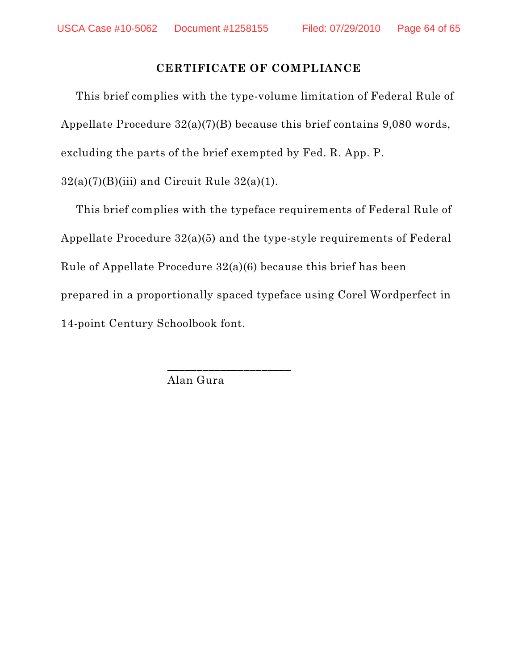## **CERTIFICATE OF COMPLIANCE**

This brief complies with the type-volume limitation of Federal Rule of Appellate Procedure 32(a)(7)(B) because this brief contains 9,080 words, excluding the parts of the brief exempted by Fed. R. App. P.  $32(a)(7)(B)(iii)$  and Circuit Rule  $32(a)(1)$ .

This brief complies with the typeface requirements of Federal Rule of Appellate Procedure 32(a)(5) and the type-style requirements of Federal Rule of Appellate Procedure 32(a)(6) because this brief has been prepared in a proportionally spaced typeface using Corel Wordperfect in 14-point Century Schoolbook font.

Alan Gura

\_\_\_\_\_\_\_\_\_\_\_\_\_\_\_\_\_\_\_\_\_